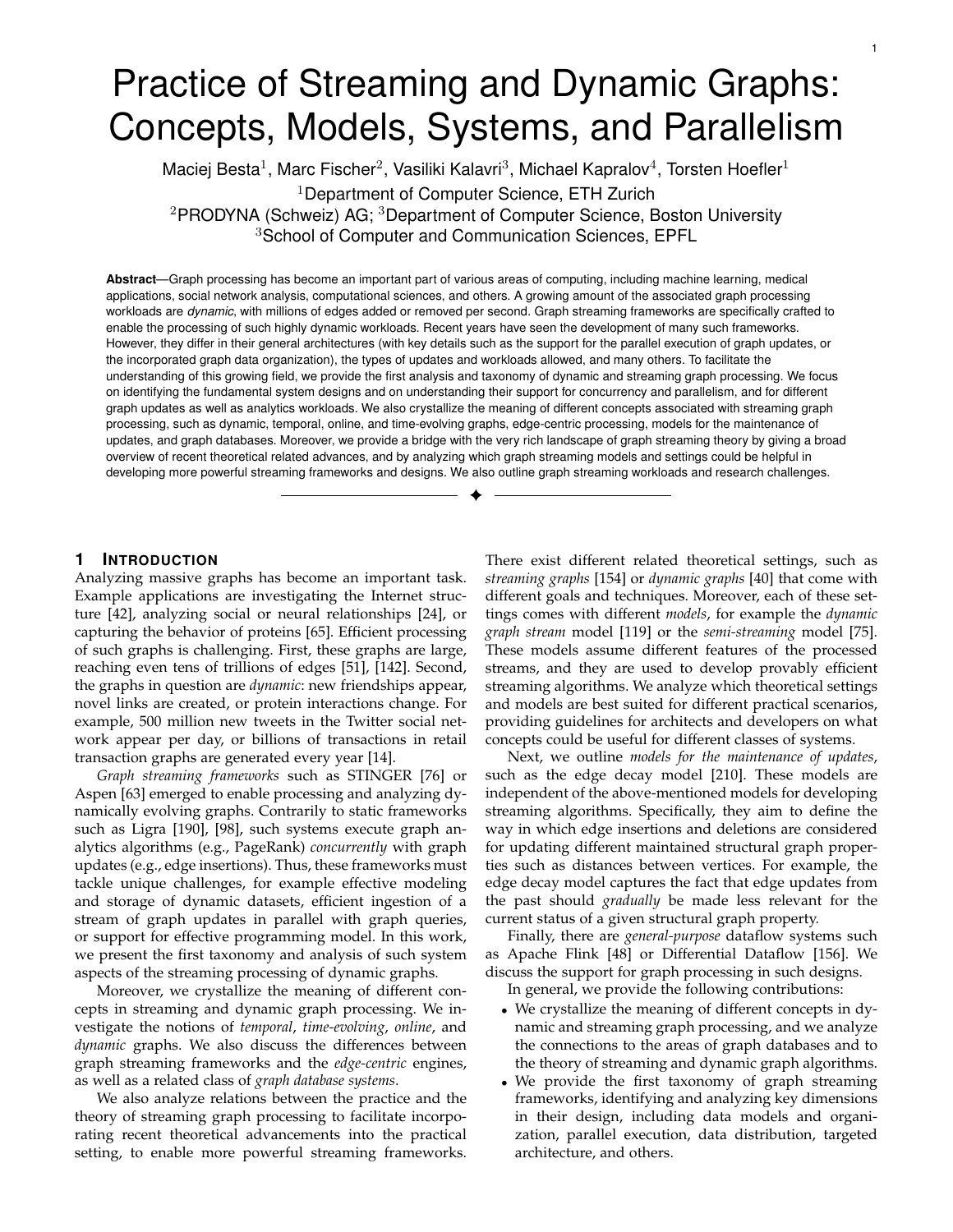# Practice of Streaming and Dynamic Graphs: Concepts, Models, Systems, and Parallelism

Maciej Besta $^1$ , Marc Fischer $^2$ , Vasiliki Kalavri $^3$ , Michael Kapralov $^4$ , Torsten Hoefler $^1$ 

<sup>1</sup>Department of Computer Science, ETH Zurich

<sup>2</sup>PRODYNA (Schweiz) AG; <sup>3</sup>Department of Computer Science, Boston University <sup>3</sup>School of Computer and Communication Sciences, EPFL

**Abstract**—Graph processing has become an important part of various areas of computing, including machine learning, medical applications, social network analysis, computational sciences, and others. A growing amount of the associated graph processing workloads are *dynamic*, with millions of edges added or removed per second. Graph streaming frameworks are specifically crafted to enable the processing of such highly dynamic workloads. Recent years have seen the development of many such frameworks. However, they differ in their general architectures (with key details such as the support for the parallel execution of graph updates, or the incorporated graph data organization), the types of updates and workloads allowed, and many others. To facilitate the understanding of this growing field, we provide the first analysis and taxonomy of dynamic and streaming graph processing. We focus on identifying the fundamental system designs and on understanding their support for concurrency and parallelism, and for different graph updates as well as analytics workloads. We also crystallize the meaning of different concepts associated with streaming graph processing, such as dynamic, temporal, online, and time-evolving graphs, edge-centric processing, models for the maintenance of updates, and graph databases. Moreover, we provide a bridge with the very rich landscape of graph streaming theory by giving a broad overview of recent theoretical related advances, and by analyzing which graph streaming models and settings could be helpful in developing more powerful streaming frameworks and designs. We also outline graph streaming workloads and research challenges.

✦

# **1 INTRODUCTION**

Analyzing massive graphs has become an important task. Example applications are investigating the Internet structure [42], analyzing social or neural relationships [24], or capturing the behavior of proteins [65]. Efficient processing of such graphs is challenging. First, these graphs are large, reaching even tens of trillions of edges [51], [142]. Second, the graphs in question are *dynamic*: new friendships appear, novel links are created, or protein interactions change. For example, 500 million new tweets in the Twitter social network appear per day, or billions of transactions in retail transaction graphs are generated every year [14].

*Graph streaming frameworks* such as STINGER [76] or Aspen [63] emerged to enable processing and analyzing dynamically evolving graphs. Contrarily to static frameworks such as Ligra [190], [98], such systems execute graph analytics algorithms (e.g., PageRank) *concurrently* with graph updates (e.g., edge insertions). Thus, these frameworks must tackle unique challenges, for example effective modeling and storage of dynamic datasets, efficient ingestion of a stream of graph updates in parallel with graph queries, or support for effective programming model. In this work, we present the first taxonomy and analysis of such system aspects of the streaming processing of dynamic graphs.

Moreover, we crystallize the meaning of different concepts in streaming and dynamic graph processing. We investigate the notions of *temporal*, *time-evolving*, *online*, and *dynamic* graphs. We also discuss the differences between graph streaming frameworks and the *edge-centric* engines, as well as a related class of *graph database systems*.

We also analyze relations between the practice and the theory of streaming graph processing to facilitate incorporating recent theoretical advancements into the practical setting, to enable more powerful streaming frameworks.

There exist different related theoretical settings, such as *streaming graphs* [154] or *dynamic graphs* [40] that come with different goals and techniques. Moreover, each of these settings comes with different *models*, for example the *dynamic graph stream* model [119] or the *semi-streaming* model [75]. These models assume different features of the processed streams, and they are used to develop provably efficient streaming algorithms. We analyze which theoretical settings and models are best suited for different practical scenarios, providing guidelines for architects and developers on what concepts could be useful for different classes of systems.

1

Next, we outline *models for the maintenance of updates*, such as the edge decay model [210]. These models are independent of the above-mentioned models for developing streaming algorithms. Specifically, they aim to define the way in which edge insertions and deletions are considered for updating different maintained structural graph properties such as distances between vertices. For example, the edge decay model captures the fact that edge updates from the past should *gradually* be made less relevant for the current status of a given structural graph property.

Finally, there are *general-purpose* dataflow systems such as Apache Flink [48] or Differential Dataflow [156]. We discuss the support for graph processing in such designs. In general, we provide the following contributions:

- We crystallize the meaning of different concepts in dynamic and streaming graph processing, and we analyze the connections to the areas of graph databases and to the theory of streaming and dynamic graph algorithms.
- We provide the first taxonomy of graph streaming frameworks, identifying and analyzing key dimensions in their design, including data models and organization, parallel execution, data distribution, targeted architecture, and others.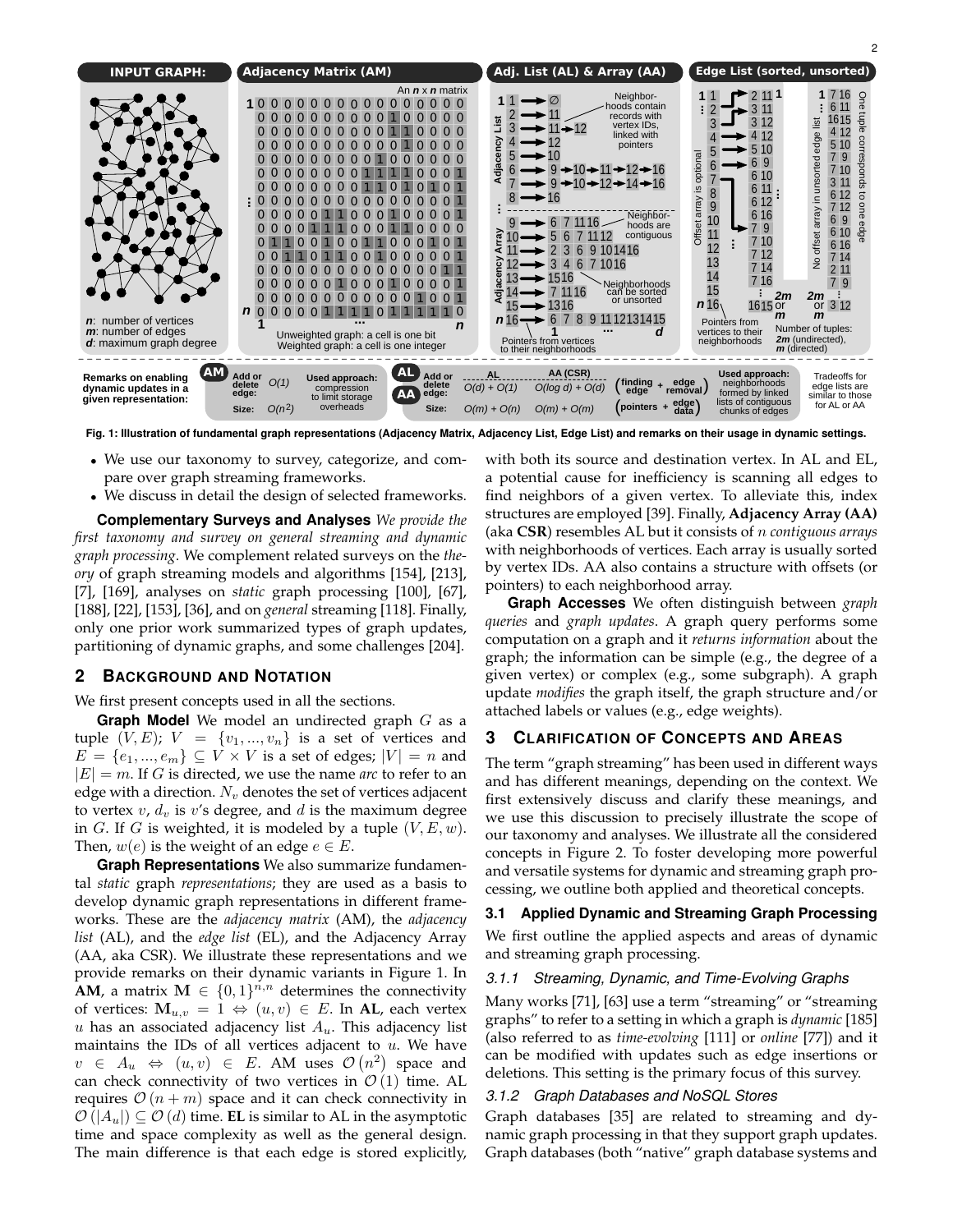

**Fig. 1: Illustration of fundamental graph representations (Adjacency Matrix, Adjacency List, Edge List) and remarks on their usage in dynamic settings.**

- We use our taxonomy to survey, categorize, and compare over graph streaming frameworks.
- We discuss in detail the design of selected frameworks.

**Complementary Surveys and Analyses** *We provide the first taxonomy and survey on general streaming and dynamic graph processing*. We complement related surveys on the *theory* of graph streaming models and algorithms [154], [213], [7], [169], analyses on *static* graph processing [100], [67], [188], [22], [153], [36], and on *general* streaming [118]. Finally, only one prior work summarized types of graph updates, partitioning of dynamic graphs, and some challenges [204].

# **2 BACKGROUND AND NOTATION**

We first present concepts used in all the sections.

**Graph Model** We model an undirected graph G as a tuple  $(V, E)$ ;  $V = \{v_1, ..., v_n\}$  is a set of vertices and  $E = \{e_1, ..., e_m\} \subseteq V \times V$  is a set of edges;  $|V| = n$  and  $|E| = m$ . If G is directed, we use the name *arc* to refer to an edge with a direction.  $N_v$  denotes the set of vertices adjacent to vertex  $v$ ,  $d_v$  is  $v$ 's degree, and  $d$  is the maximum degree in G. If G is weighted, it is modeled by a tuple  $(V, E, w)$ . Then,  $w(e)$  is the weight of an edge  $e \in E$ .

**Graph Representations** We also summarize fundamental *static* graph *representations*; they are used as a basis to develop dynamic graph representations in different frameworks. These are the *adjacency matrix* (AM), the *adjacency list* (AL), and the *edge list* (EL), and the Adjacency Array (AA, aka CSR). We illustrate these representations and we provide remarks on their dynamic variants in Figure 1. In **AM**, a matrix  $M \in \{0,1\}^{n,n}$  determines the connectivity of vertices:  $\mathbf{M}_{u,v} = 1 \Leftrightarrow (u,v) \in E$ . In **AL**, each vertex u has an associated adjacency list  $A_u$ . This adjacency list maintains the IDs of all vertices adjacent to  $u$ . We have  $v \in A_u \Leftrightarrow (u, v) \in E$ . AM uses  $\mathcal{O}(n^2)$  space and can check connectivity of two vertices in  $\mathcal{O}(1)$  time. AL requires  $\mathcal{O}(n+m)$  space and it can check connectivity in  $\mathcal{O}(|A_u|) \subseteq \mathcal{O}(d)$  time. **EL** is similar to AL in the asymptotic time and space complexity as well as the general design. The main difference is that each edge is stored explicitly,

with both its source and destination vertex. In AL and EL, a potential cause for inefficiency is scanning all edges to find neighbors of a given vertex. To alleviate this, index structures are employed [39]. Finally, **Adjacency Array (AA)** (aka **CSR**) resembles AL but it consists of n *contiguous arrays* with neighborhoods of vertices. Each array is usually sorted by vertex IDs. AA also contains a structure with offsets (or pointers) to each neighborhood array.

**Graph Accesses** We often distinguish between *graph queries* and *graph updates*. A graph query performs some computation on a graph and it *returns information* about the graph; the information can be simple (e.g., the degree of a given vertex) or complex (e.g., some subgraph). A graph update *modifies* the graph itself, the graph structure and/or attached labels or values (e.g., edge weights).

# **3 CLARIFICATION OF CONCEPTS AND AREAS**

The term "graph streaming" has been used in different ways and has different meanings, depending on the context. We first extensively discuss and clarify these meanings, and we use this discussion to precisely illustrate the scope of our taxonomy and analyses. We illustrate all the considered concepts in Figure 2. To foster developing more powerful and versatile systems for dynamic and streaming graph processing, we outline both applied and theoretical concepts.

#### **3.1 Applied Dynamic and Streaming Graph Processing**

We first outline the applied aspects and areas of dynamic and streaming graph processing.

#### *3.1.1 Streaming, Dynamic, and Time-Evolving Graphs*

Many works [71], [63] use a term "streaming" or "streaming graphs" to refer to a setting in which a graph is *dynamic* [185] (also referred to as *time-evolving* [111] or *online* [77]) and it can be modified with updates such as edge insertions or deletions. This setting is the primary focus of this survey.

#### *3.1.2 Graph Databases and NoSQL Stores*

Graph databases [35] are related to streaming and dynamic graph processing in that they support graph updates. Graph databases (both "native" graph database systems and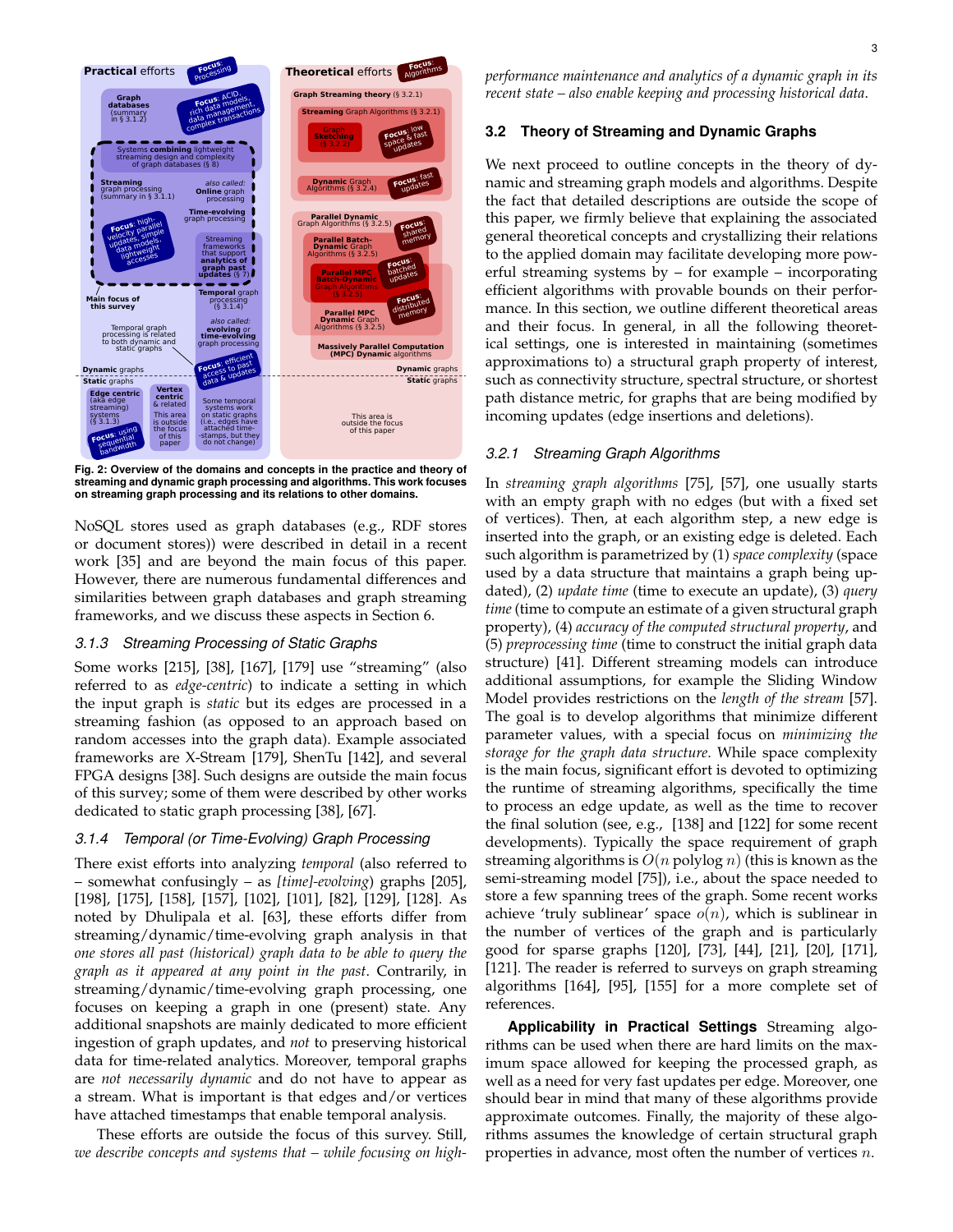

**Fig. 2: Overview of the domains and concepts in the practice and theory of streaming and dynamic graph processing and algorithms. This work focuses on streaming graph processing and its relations to other domains.**

NoSQL stores used as graph databases (e.g., RDF stores or document stores)) were described in detail in a recent work [35] and are beyond the main focus of this paper. However, there are numerous fundamental differences and similarities between graph databases and graph streaming frameworks, and we discuss these aspects in Section 6.

# *3.1.3 Streaming Processing of Static Graphs*

Some works [215], [38], [167], [179] use "streaming" (also referred to as *edge-centric*) to indicate a setting in which the input graph is *static* but its edges are processed in a streaming fashion (as opposed to an approach based on random accesses into the graph data). Example associated frameworks are X-Stream [179], ShenTu [142], and several FPGA designs [38]. Such designs are outside the main focus of this survey; some of them were described by other works dedicated to static graph processing [38], [67].

# *3.1.4 Temporal (or Time-Evolving) Graph Processing*

There exist efforts into analyzing *temporal* (also referred to – somewhat confusingly – as *[time]-evolving*) graphs [205], [198], [175], [158], [157], [102], [101], [82], [129], [128]. As noted by Dhulipala et al. [63], these efforts differ from streaming/dynamic/time-evolving graph analysis in that *one stores all past (historical) graph data to be able to query the graph as it appeared at any point in the past*. Contrarily, in streaming/dynamic/time-evolving graph processing, one focuses on keeping a graph in one (present) state. Any additional snapshots are mainly dedicated to more efficient ingestion of graph updates, and *not* to preserving historical data for time-related analytics. Moreover, temporal graphs are *not necessarily dynamic* and do not have to appear as a stream. What is important is that edges and/or vertices have attached timestamps that enable temporal analysis.

These efforts are outside the focus of this survey. Still, *we describe concepts and systems that – while focusing on high-* *performance maintenance and analytics of a dynamic graph in its recent state – also enable keeping and processing historical data*.

## **3.2 Theory of Streaming and Dynamic Graphs**

We next proceed to outline concepts in the theory of dynamic and streaming graph models and algorithms. Despite the fact that detailed descriptions are outside the scope of this paper, we firmly believe that explaining the associated general theoretical concepts and crystallizing their relations to the applied domain may facilitate developing more powerful streaming systems by – for example – incorporating efficient algorithms with provable bounds on their performance. In this section, we outline different theoretical areas and their focus. In general, in all the following theoretical settings, one is interested in maintaining (sometimes approximations to) a structural graph property of interest, such as connectivity structure, spectral structure, or shortest path distance metric, for graphs that are being modified by incoming updates (edge insertions and deletions).

#### *3.2.1 Streaming Graph Algorithms*

In *streaming graph algorithms* [75], [57], one usually starts with an empty graph with no edges (but with a fixed set of vertices). Then, at each algorithm step, a new edge is inserted into the graph, or an existing edge is deleted. Each such algorithm is parametrized by (1) *space complexity* (space used by a data structure that maintains a graph being updated), (2) *update time* (time to execute an update), (3) *query time* (time to compute an estimate of a given structural graph property), (4) *accuracy of the computed structural property*, and (5) *preprocessing time* (time to construct the initial graph data structure) [41]. Different streaming models can introduce additional assumptions, for example the Sliding Window Model provides restrictions on the *length of the stream* [57]. The goal is to develop algorithms that minimize different parameter values, with a special focus on *minimizing the storage for the graph data structure*. While space complexity is the main focus, significant effort is devoted to optimizing the runtime of streaming algorithms, specifically the time to process an edge update, as well as the time to recover the final solution (see, e.g., [138] and [122] for some recent developments). Typically the space requirement of graph streaming algorithms is  $O(n \text{ polylog } n)$  (this is known as the semi-streaming model [75]), i.e., about the space needed to store a few spanning trees of the graph. Some recent works achieve 'truly sublinear' space  $o(n)$ , which is sublinear in the number of vertices of the graph and is particularly good for sparse graphs [120], [73], [44], [21], [20], [171], [121]. The reader is referred to surveys on graph streaming algorithms [164], [95], [155] for a more complete set of references.

**Applicability in Practical Settings** Streaming algorithms can be used when there are hard limits on the maximum space allowed for keeping the processed graph, as well as a need for very fast updates per edge. Moreover, one should bear in mind that many of these algorithms provide approximate outcomes. Finally, the majority of these algorithms assumes the knowledge of certain structural graph properties in advance, most often the number of vertices n.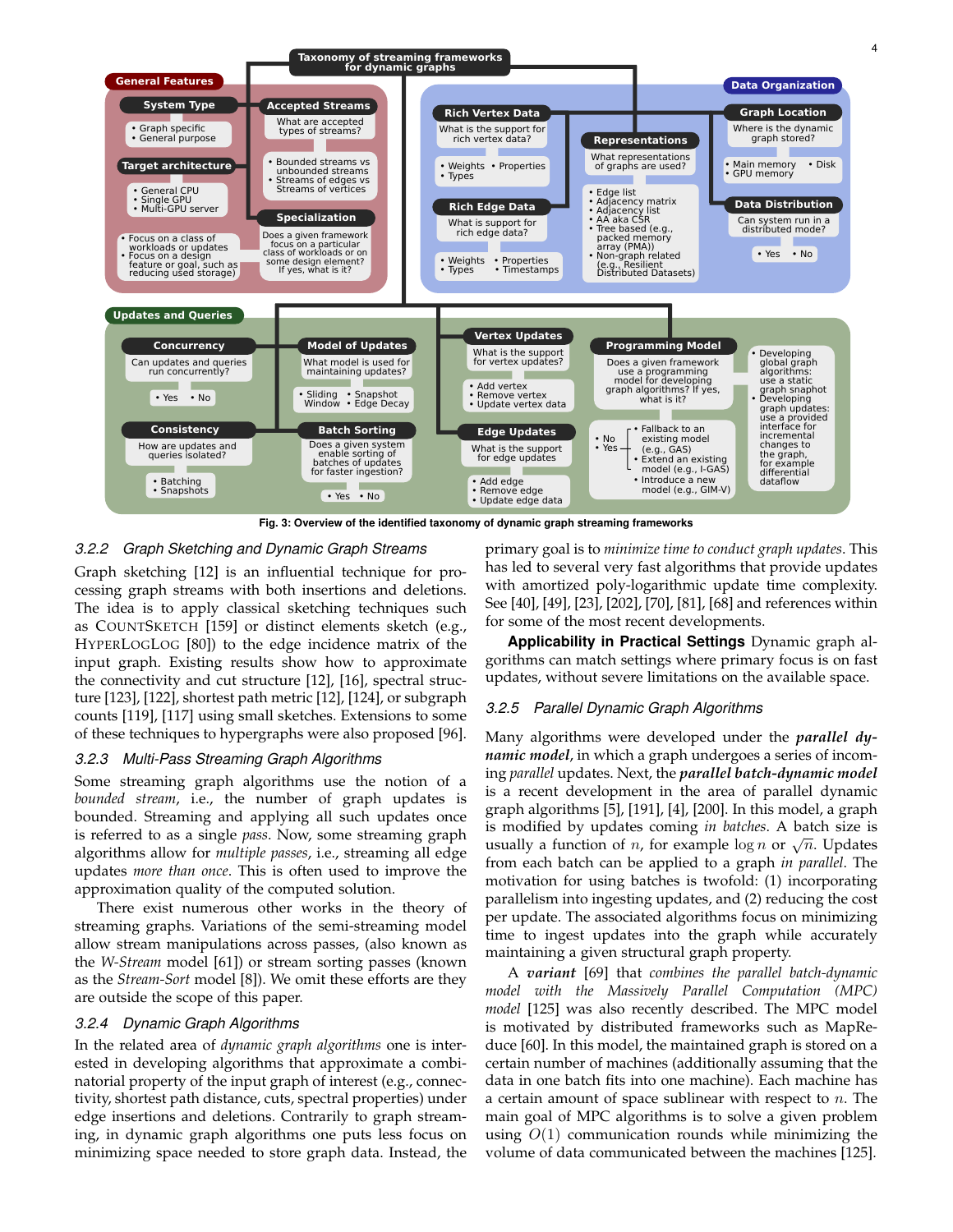

**Fig. 3: Overview of the identified taxonomy of dynamic graph streaming frameworks**

# *3.2.2 Graph Sketching and Dynamic Graph Streams*

Graph sketching [12] is an influential technique for processing graph streams with both insertions and deletions. The idea is to apply classical sketching techniques such as COUNTSKETCH [159] or distinct elements sketch (e.g., HYPERLOGLOG [80]) to the edge incidence matrix of the input graph. Existing results show how to approximate the connectivity and cut structure [12], [16], spectral structure [123], [122], shortest path metric [12], [124], or subgraph counts [119], [117] using small sketches. Extensions to some of these techniques to hypergraphs were also proposed [96].

# *3.2.3 Multi-Pass Streaming Graph Algorithms*

Some streaming graph algorithms use the notion of a *bounded stream*, i.e., the number of graph updates is bounded. Streaming and applying all such updates once is referred to as a single *pass*. Now, some streaming graph algorithms allow for *multiple passes*, i.e., streaming all edge updates *more than once*. This is often used to improve the approximation quality of the computed solution.

There exist numerous other works in the theory of streaming graphs. Variations of the semi-streaming model allow stream manipulations across passes, (also known as the *W-Stream* model [61]) or stream sorting passes (known as the *Stream-Sort* model [8]). We omit these efforts are they are outside the scope of this paper.

#### *3.2.4 Dynamic Graph Algorithms*

In the related area of *dynamic graph algorithms* one is interested in developing algorithms that approximate a combinatorial property of the input graph of interest (e.g., connectivity, shortest path distance, cuts, spectral properties) under edge insertions and deletions. Contrarily to graph streaming, in dynamic graph algorithms one puts less focus on minimizing space needed to store graph data. Instead, the primary goal is to *minimize time to conduct graph updates*. This has led to several very fast algorithms that provide updates with amortized poly-logarithmic update time complexity. See [40], [49], [23], [202], [70], [81], [68] and references within for some of the most recent developments.

**Applicability in Practical Settings** Dynamic graph algorithms can match settings where primary focus is on fast updates, without severe limitations on the available space.

#### *3.2.5 Parallel Dynamic Graph Algorithms*

Many algorithms were developed under the *parallel dynamic model*, in which a graph undergoes a series of incoming *parallel* updates. Next, the *parallel batch-dynamic model* is a recent development in the area of parallel dynamic graph algorithms [5], [191], [4], [200]. In this model, a graph is modified by updates coming *in batches*. A batch size is is modified by updates coming *in butches*. A batch size is usually a function of *n*, for example  $\log n$  or  $\sqrt{n}$ . Updates from each batch can be applied to a graph *in parallel*. The motivation for using batches is twofold: (1) incorporating parallelism into ingesting updates, and (2) reducing the cost per update. The associated algorithms focus on minimizing time to ingest updates into the graph while accurately maintaining a given structural graph property.

A *variant* [69] that *combines the parallel batch-dynamic model with the Massively Parallel Computation (MPC) model* [125] was also recently described. The MPC model is motivated by distributed frameworks such as MapReduce [60]. In this model, the maintained graph is stored on a certain number of machines (additionally assuming that the data in one batch fits into one machine). Each machine has a certain amount of space sublinear with respect to  $n$ . The main goal of MPC algorithms is to solve a given problem using  $O(1)$  communication rounds while minimizing the volume of data communicated between the machines [125].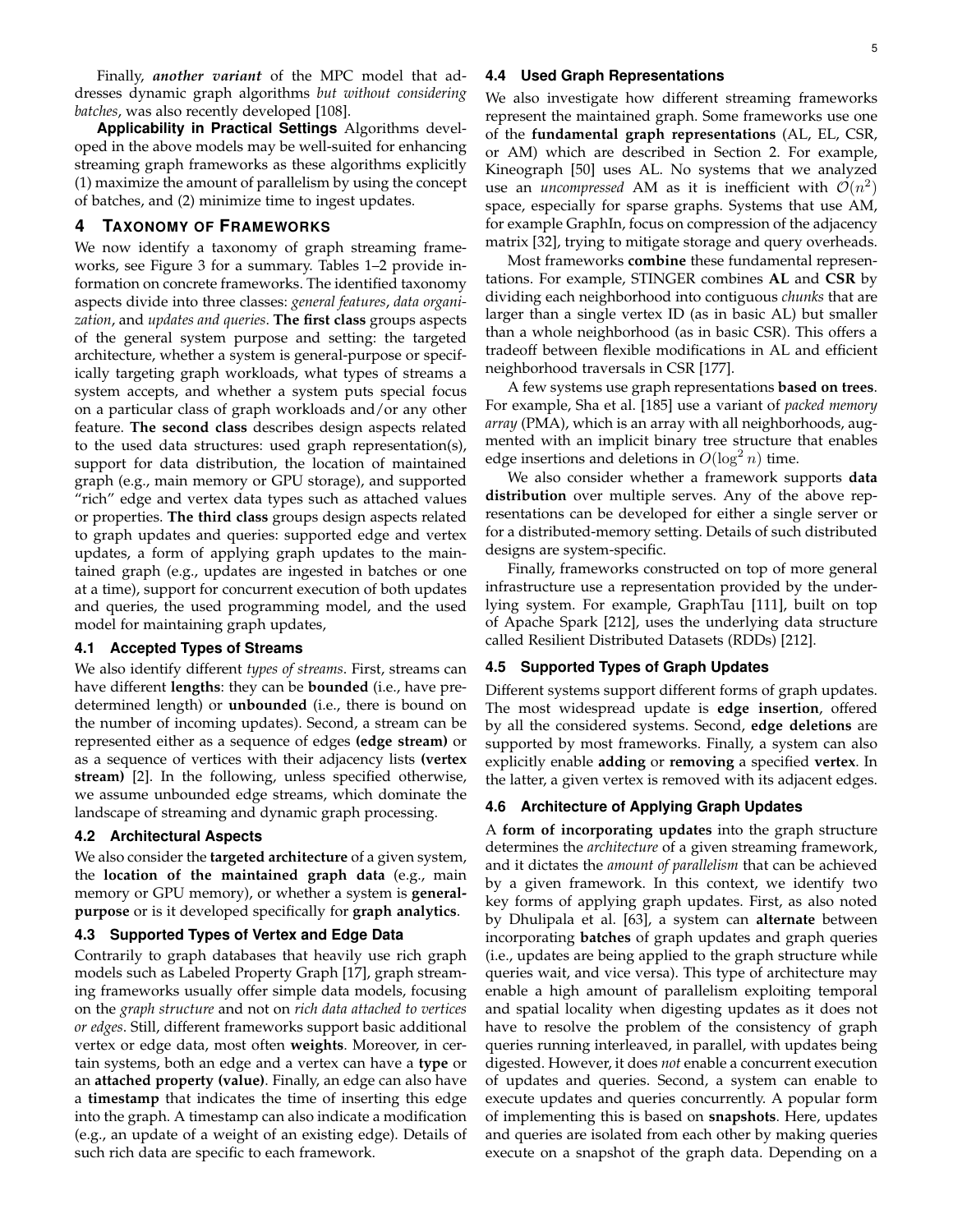Finally, *another variant* of the MPC model that addresses dynamic graph algorithms *but without considering batches*, was also recently developed [108].

**Applicability in Practical Settings** Algorithms developed in the above models may be well-suited for enhancing streaming graph frameworks as these algorithms explicitly (1) maximize the amount of parallelism by using the concept of batches, and (2) minimize time to ingest updates.

# **4 TAXONOMY OF FRAMEWORKS**

We now identify a taxonomy of graph streaming frameworks, see Figure 3 for a summary. Tables 1–2 provide information on concrete frameworks. The identified taxonomy aspects divide into three classes: *general features*, *data organization*, and *updates and queries*. **The first class** groups aspects of the general system purpose and setting: the targeted architecture, whether a system is general-purpose or specifically targeting graph workloads, what types of streams a system accepts, and whether a system puts special focus on a particular class of graph workloads and/or any other feature. **The second class** describes design aspects related to the used data structures: used graph representation(s), support for data distribution, the location of maintained graph (e.g., main memory or GPU storage), and supported "rich" edge and vertex data types such as attached values or properties. **The third class** groups design aspects related to graph updates and queries: supported edge and vertex updates, a form of applying graph updates to the maintained graph (e.g., updates are ingested in batches or one at a time), support for concurrent execution of both updates and queries, the used programming model, and the used model for maintaining graph updates,

# **4.1 Accepted Types of Streams**

We also identify different *types of streams*. First, streams can have different **lengths**: they can be **bounded** (i.e., have predetermined length) or **unbounded** (i.e., there is bound on the number of incoming updates). Second, a stream can be represented either as a sequence of edges **(edge stream)** or as a sequence of vertices with their adjacency lists **(vertex stream)** [2]. In the following, unless specified otherwise, we assume unbounded edge streams, which dominate the landscape of streaming and dynamic graph processing.

# **4.2 Architectural Aspects**

We also consider the **targeted architecture** of a given system, the **location of the maintained graph data** (e.g., main memory or GPU memory), or whether a system is **generalpurpose** or is it developed specifically for **graph analytics**.

# **4.3 Supported Types of Vertex and Edge Data**

Contrarily to graph databases that heavily use rich graph models such as Labeled Property Graph [17], graph streaming frameworks usually offer simple data models, focusing on the *graph structure* and not on *rich data attached to vertices or edges*. Still, different frameworks support basic additional vertex or edge data, most often **weights**. Moreover, in certain systems, both an edge and a vertex can have a **type** or an **attached property (value)**. Finally, an edge can also have a **timestamp** that indicates the time of inserting this edge into the graph. A timestamp can also indicate a modification (e.g., an update of a weight of an existing edge). Details of such rich data are specific to each framework.

#### **4.4 Used Graph Representations**

We also investigate how different streaming frameworks represent the maintained graph. Some frameworks use one of the **fundamental graph representations** (AL, EL, CSR, or AM) which are described in Section 2. For example, Kineograph [50] uses AL. No systems that we analyzed use an *uncompressed* AM as it is inefficient with  $\mathcal{O}(n^2)$ space, especially for sparse graphs. Systems that use AM, for example GraphIn, focus on compression of the adjacency matrix [32], trying to mitigate storage and query overheads.

Most frameworks **combine** these fundamental representations. For example, STINGER combines **AL** and **CSR** by dividing each neighborhood into contiguous *chunks* that are larger than a single vertex ID (as in basic AL) but smaller than a whole neighborhood (as in basic CSR). This offers a tradeoff between flexible modifications in AL and efficient neighborhood traversals in CSR [177].

A few systems use graph representations **based on trees**. For example, Sha et al. [185] use a variant of *packed memory array* (PMA), which is an array with all neighborhoods, augmented with an implicit binary tree structure that enables edge insertions and deletions in  $O(\log^2 n)$  time.

We also consider whether a framework supports **data distribution** over multiple serves. Any of the above representations can be developed for either a single server or for a distributed-memory setting. Details of such distributed designs are system-specific.

Finally, frameworks constructed on top of more general infrastructure use a representation provided by the underlying system. For example, GraphTau [111], built on top of Apache Spark [212], uses the underlying data structure called Resilient Distributed Datasets (RDDs) [212].

# **4.5 Supported Types of Graph Updates**

Different systems support different forms of graph updates. The most widespread update is **edge insertion**, offered by all the considered systems. Second, **edge deletions** are supported by most frameworks. Finally, a system can also explicitly enable **adding** or **removing** a specified **vertex**. In the latter, a given vertex is removed with its adjacent edges.

#### **4.6 Architecture of Applying Graph Updates**

A **form of incorporating updates** into the graph structure determines the *architecture* of a given streaming framework, and it dictates the *amount of parallelism* that can be achieved by a given framework. In this context, we identify two key forms of applying graph updates. First, as also noted by Dhulipala et al. [63], a system can **alternate** between incorporating **batches** of graph updates and graph queries (i.e., updates are being applied to the graph structure while queries wait, and vice versa). This type of architecture may enable a high amount of parallelism exploiting temporal and spatial locality when digesting updates as it does not have to resolve the problem of the consistency of graph queries running interleaved, in parallel, with updates being digested. However, it does *not* enable a concurrent execution of updates and queries. Second, a system can enable to execute updates and queries concurrently. A popular form of implementing this is based on **snapshots**. Here, updates and queries are isolated from each other by making queries execute on a snapshot of the graph data. Depending on a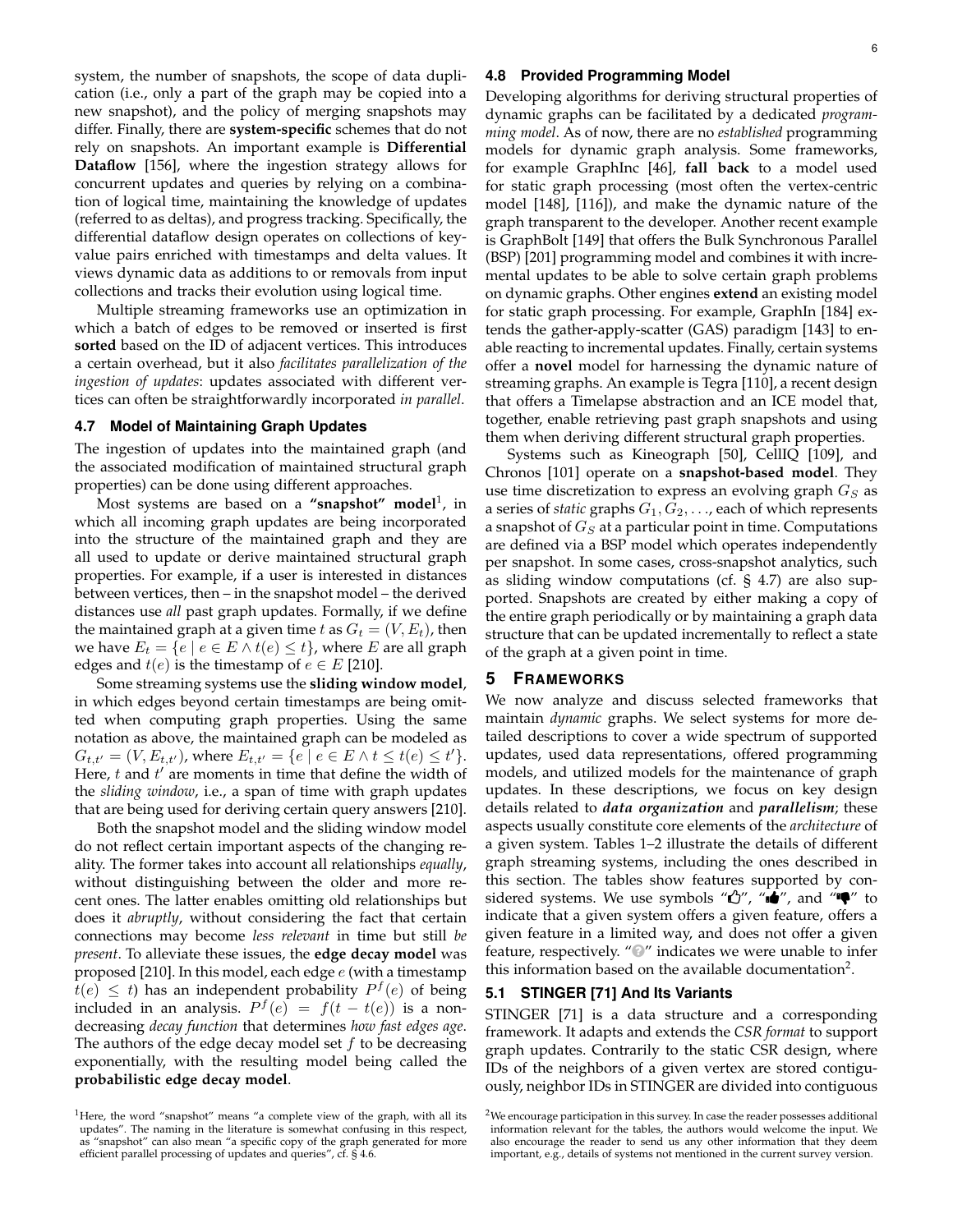system, the number of snapshots, the scope of data duplication (i.e., only a part of the graph may be copied into a new snapshot), and the policy of merging snapshots may differ. Finally, there are **system-specific** schemes that do not rely on snapshots. An important example is **Differential Dataflow** [156], where the ingestion strategy allows for concurrent updates and queries by relying on a combination of logical time, maintaining the knowledge of updates (referred to as deltas), and progress tracking. Specifically, the differential dataflow design operates on collections of keyvalue pairs enriched with timestamps and delta values. It views dynamic data as additions to or removals from input collections and tracks their evolution using logical time.

Multiple streaming frameworks use an optimization in which a batch of edges to be removed or inserted is first **sorted** based on the ID of adjacent vertices. This introduces a certain overhead, but it also *facilitates parallelization of the ingestion of updates*: updates associated with different vertices can often be straightforwardly incorporated *in parallel*.

#### **4.7 Model of Maintaining Graph Updates**

The ingestion of updates into the maintained graph (and the associated modification of maintained structural graph properties) can be done using different approaches.

Most systems are based on a **"snapshot" model**<sup>1</sup> , in which all incoming graph updates are being incorporated into the structure of the maintained graph and they are all used to update or derive maintained structural graph properties. For example, if a user is interested in distances between vertices, then – in the snapshot model – the derived distances use *all* past graph updates. Formally, if we define the maintained graph at a given time  $t$  as  $G_t = (V, E_t)$ , then we have  $E_t = \{e \mid e \in E \wedge t(e) \leq t\}$ , where E are all graph edges and  $t(e)$  is the timestamp of  $e \in E$  [210].

Some streaming systems use the **sliding window model**, in which edges beyond certain timestamps are being omitted when computing graph properties. Using the same notation as above, the maintained graph can be modeled as  $G_{t,t'} = (V, E_{t,t'})$ , where  $E_{t,t'} = \{e | e \in E \wedge t \leq t(e) \leq t'\}.$ Here,  $t$  and  $t'$  are moments in time that define the width of the *sliding window*, i.e., a span of time with graph updates that are being used for deriving certain query answers [210].

Both the snapshot model and the sliding window model do not reflect certain important aspects of the changing reality. The former takes into account all relationships *equally*, without distinguishing between the older and more recent ones. The latter enables omitting old relationships but does it *abruptly*, without considering the fact that certain connections may become *less relevant* in time but still *be present*. To alleviate these issues, the **edge decay model** was proposed [210]. In this model, each edge  $e$  (with a timestamp  $\overline{t}(e) \leq t$ ) has an independent probability  $P^{f}(e)$  of being included in an analysis.  $P^f(e) = f(t - t(e))$  is a nondecreasing *decay function* that determines *how fast edges age*. The authors of the edge decay model set  $f$  to be decreasing exponentially, with the resulting model being called the **probabilistic edge decay model**.

#### **4.8 Provided Programming Model**

Developing algorithms for deriving structural properties of dynamic graphs can be facilitated by a dedicated *programming model*. As of now, there are no *established* programming models for dynamic graph analysis. Some frameworks, for example GraphInc [46], **fall back** to a model used for static graph processing (most often the vertex-centric model [148], [116]), and make the dynamic nature of the graph transparent to the developer. Another recent example is GraphBolt [149] that offers the Bulk Synchronous Parallel (BSP) [201] programming model and combines it with incremental updates to be able to solve certain graph problems on dynamic graphs. Other engines **extend** an existing model for static graph processing. For example, GraphIn [184] extends the gather-apply-scatter (GAS) paradigm [143] to enable reacting to incremental updates. Finally, certain systems offer a **novel** model for harnessing the dynamic nature of streaming graphs. An example is Tegra [110], a recent design that offers a Timelapse abstraction and an ICE model that, together, enable retrieving past graph snapshots and using them when deriving different structural graph properties.

Systems such as Kineograph [50], CellIQ [109], and Chronos [101] operate on a **snapshot-based model**. They use time discretization to express an evolving graph  $G_S$  as a series of *static* graphs  $G_1, G_2, \ldots$ , each of which represents a snapshot of  $G_S$  at a particular point in time. Computations are defined via a BSP model which operates independently per snapshot. In some cases, cross-snapshot analytics, such as sliding window computations (cf. § 4.7) are also supported. Snapshots are created by either making a copy of the entire graph periodically or by maintaining a graph data structure that can be updated incrementally to reflect a state of the graph at a given point in time.

# **5 FRAMEWORKS**

We now analyze and discuss selected frameworks that maintain *dynamic* graphs. We select systems for more detailed descriptions to cover a wide spectrum of supported updates, used data representations, offered programming models, and utilized models for the maintenance of graph updates. In these descriptions, we focus on key design details related to *data organization* and *parallelism*; these aspects usually constitute core elements of the *architecture* of a given system. Tables 1–2 illustrate the details of different graph streaming systems, including the ones described in this section. The tables show features supported by considered systems. We use symbols " $\mathbb{C}$ ", " $\mathbb{d}$ ", and " $\P'$ " to indicate that a given system offers a given feature, offers a given feature in a limited way, and does not offer a given feature, respectively. "<sup>O</sup>" indicates we were unable to infer this information based on the available documentation<sup>2</sup>.

# **5.1 STINGER [71] And Its Variants**

STINGER [71] is a data structure and a corresponding framework. It adapts and extends the *CSR format* to support graph updates. Contrarily to the static CSR design, where IDs of the neighbors of a given vertex are stored contiguously, neighbor IDs in STINGER are divided into contiguous

<sup>&</sup>lt;sup>1</sup>Here, the word "snapshot" means "a complete view of the graph, with all its updates". The naming in the literature is somewhat confusing in this respect, as "snapshot" can also mean "a specific copy of the graph generated for more efficient parallel processing of updates and queries", cf. § 4.6.

 $2$ We encourage participation in this survey. In case the reader possesses additional information relevant for the tables, the authors would welcome the input. We also encourage the reader to send us any other information that they deem important, e.g., details of systems not mentioned in the current survey version.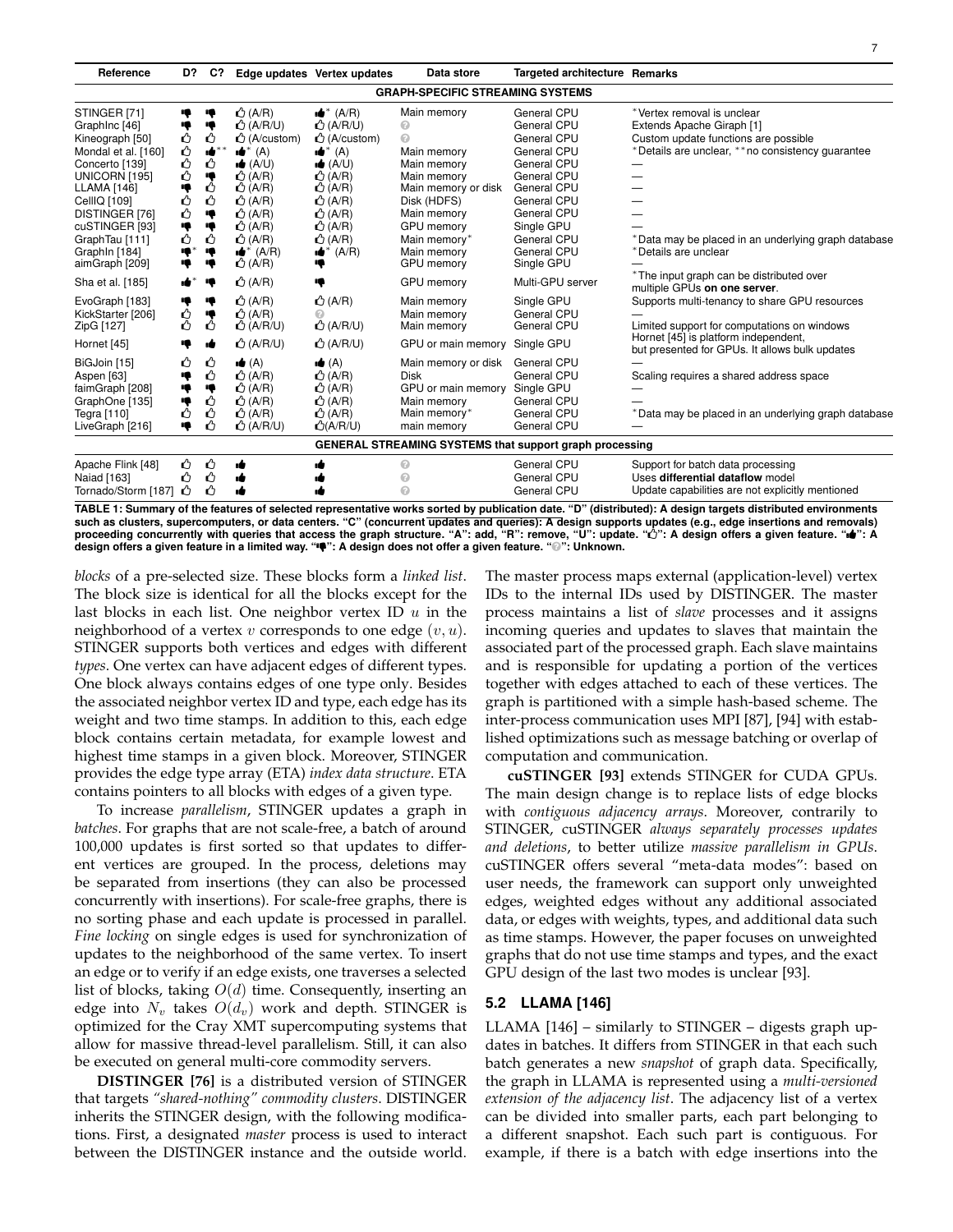| Reference                                                                                                                                                                                                                                  | D?                                                               | C?                                                           |                                                                                                                                                                                                                                                                           | Edge updates Vertex updates                                                                                                                                                                                                                     | Data store                                                                                                                                                                                | <b>Targeted architecture Remarks</b>                                                                                                                                                          |                                                                                                                                                                                                                                     |
|--------------------------------------------------------------------------------------------------------------------------------------------------------------------------------------------------------------------------------------------|------------------------------------------------------------------|--------------------------------------------------------------|---------------------------------------------------------------------------------------------------------------------------------------------------------------------------------------------------------------------------------------------------------------------------|-------------------------------------------------------------------------------------------------------------------------------------------------------------------------------------------------------------------------------------------------|-------------------------------------------------------------------------------------------------------------------------------------------------------------------------------------------|-----------------------------------------------------------------------------------------------------------------------------------------------------------------------------------------------|-------------------------------------------------------------------------------------------------------------------------------------------------------------------------------------------------------------------------------------|
|                                                                                                                                                                                                                                            |                                                                  |                                                              |                                                                                                                                                                                                                                                                           |                                                                                                                                                                                                                                                 | <b>GRAPH-SPECIFIC STREAMING SYSTEMS</b>                                                                                                                                                   |                                                                                                                                                                                               |                                                                                                                                                                                                                                     |
| STINGER [71]<br>GraphInc [46]<br>Kineograph [50]<br>Mondal et al. [160]<br>Concerto [139]<br>UNICORN [195]<br>LLAMA [146]<br>CellIQ [109]<br><b>DISTINGER [76]</b><br>cuSTINGER [93]<br>GraphTau [111]<br>Graph In [184]<br>aimGraph [209] | Ŗ<br>ŋ<br>Ů<br>Ů<br>ů<br>Ů<br>١ę<br>Ů<br>Ů<br>٠ę<br>Ů<br>ą<br>۱ę | ♥<br>۱ę<br>ᠿ<br>ıė<br>ᠿ<br>۰ę<br>Ô<br>ᠿ<br>۰ę<br>ᠿ<br>ņ<br>ų | $\bigcirc$ (A/R)<br>$\bigcirc$ (A/R/U)<br>$\triangle$ (A/custom)<br>$\bullet^*$ (A)<br>$\bullet$ (A/U)<br>$\bigcirc$ (A/R)<br>$\bigcirc$ (A/R)<br>$\triangle$ (A/R)<br>$\bigcirc$ (A/R)<br>$\triangle$ (A/R)<br>$\bigcirc$ (A/R)<br>$\bullet^*$ (A/R)<br>$\bigcirc$ (A/R) | $\bullet^*$ (A/R)<br>$\bigcirc$ (A/R/U)<br>$\triangle$ (A/custom)<br>$\bullet^*$ (A)<br>$\bullet$ (A/U)<br>$\bigcirc$ (A/R)<br>$\bigcirc$ (A/R)<br>$\bigcirc$ (A/R)<br>$\bigcirc$ (A/R)<br>$\triangle$ (A/R)<br>$\bigcirc$ (A/R)<br>(A/R)<br>∙∎ | Main memory<br>ℯ<br>⋒<br>Main memory<br>Main memory<br>Main memory<br>Main memory or disk<br>Disk (HDFS)<br>Main memory<br>GPU memory<br>Main memory*<br>Main memory<br><b>GPU</b> memory | General CPU<br>General CPU<br>General CPU<br>General CPU<br>General CPU<br>General CPU<br>General CPU<br>General CPU<br>General CPU<br>Single GPU<br>General CPU<br>General CPU<br>Single GPU | *Vertex removal is unclear<br>Extends Apache Giraph [1]<br>Custom update functions are possible<br>*Details are unclear, ** no consistency quarantee<br>*Data may be placed in an underlying graph database<br>*Details are unclear |
| Sha et al. [185]                                                                                                                                                                                                                           | $\bullet^*$                                                      | ų                                                            | $\triangle$ (A/R)                                                                                                                                                                                                                                                         | ♥                                                                                                                                                                                                                                               | GPU memory                                                                                                                                                                                | Multi-GPU server                                                                                                                                                                              | *The input graph can be distributed over<br>multiple GPUs on one server.                                                                                                                                                            |
| EvoGraph [183]<br>KickStarter [206]<br>ZipG [127]                                                                                                                                                                                          | ą<br>Ŷ<br>Ô                                                      | ą<br>۱ę<br>Δ                                                 | $\triangle$ (A/R)<br>$\bigcirc$ (A/R)<br>$\bigcirc$ (A/R/U)                                                                                                                                                                                                               | $\bigcirc$ (A/R)<br>t (A/R/U)                                                                                                                                                                                                                   | Main memory<br>Main memory<br>Main memory                                                                                                                                                 | Single GPU<br>General CPU<br>General CPU                                                                                                                                                      | Supports multi-tenancy to share GPU resources<br>Limited support for computations on windows<br>Hornet [45] is platform independent,                                                                                                |
| Hornet [45]                                                                                                                                                                                                                                | 4                                                                | ۱Ė                                                           | $\triangle$ (A/R/U)                                                                                                                                                                                                                                                       | <b>①</b> (A/R/U)                                                                                                                                                                                                                                | GPU or main memory                                                                                                                                                                        | Single GPU                                                                                                                                                                                    | but presented for GPUs. It allows bulk updates                                                                                                                                                                                      |
| BiGJoin [15]<br>Aspen [63]<br>faimGraph [208]<br>GraphOne [135]<br>Tegra [110]<br>LiveGraph [216]                                                                                                                                          | Ű<br>۰ę<br>٠ę<br>۱ę<br>ᠿ<br>۱ę                                   | Δ<br>↺<br>ą<br>Ů<br>ᠿ<br>Δ                                   | $\bullet$ (A)<br>$\bigtriangleup$ (A/R)<br>$\triangle$ (A/R)<br>$\bigcirc$ (A/R)<br>$\bigcirc$ (A/R)<br>$\bigcirc$ (A/R/U)                                                                                                                                                | $\blacktriangle$ (A)<br>$\triangle$ (A/R)<br>$\bigcirc$ (A/R)<br>$\bigtriangleup$ (A/R)<br>$\bigcirc$ (A/R)<br>$\triangle$ (A/R/U)                                                                                                              | Main memory or disk<br><b>Disk</b><br>GPU or main memory<br>Main memory<br>Main memory*<br>main memory                                                                                    | General CPU<br>General CPU<br>Single GPU<br>General CPU<br>General CPU<br>General CPU                                                                                                         | Scaling requires a shared address space<br>*Data may be placed in an underlying graph database                                                                                                                                      |
|                                                                                                                                                                                                                                            |                                                                  |                                                              |                                                                                                                                                                                                                                                                           |                                                                                                                                                                                                                                                 |                                                                                                                                                                                           | <b>GENERAL STREAMING SYSTEMS that support graph processing</b>                                                                                                                                |                                                                                                                                                                                                                                     |
| Apache Flink [48]<br>Naiad [163]<br>Tornado/Storm [187]                                                                                                                                                                                    | ᠿ<br>Δ<br>ᠿ                                                      | Ů<br>ᠿ<br>ᠿ                                                  | ٠Ó                                                                                                                                                                                                                                                                        |                                                                                                                                                                                                                                                 | ⋒<br>⋒<br>⋒                                                                                                                                                                               | General CPU<br>General CPU<br>General CPU                                                                                                                                                     | Support for batch data processing<br>Uses differential dataflow model<br>Update capabilities are not explicitly mentioned                                                                                                           |

**TABLE 1: Summary of the features of selected representative works sorted by publication date. "D" (distributed): A design targets distributed environments** such as clusters, supercomputers, or data centers. "C" (concurrent updates and queries): A design supports updates (e.g., edge insertions and removals)<br>proceeding concurrently with queries that access the graph structure. **design offers a given feature in a limited way. "": A design does not offer a given feature. "**Ê**": Unknown.**

*blocks* of a pre-selected size. These blocks form a *linked list*. The block size is identical for all the blocks except for the last blocks in each list. One neighbor vertex ID  $u$  in the neighborhood of a vertex  $v$  corresponds to one edge  $(v, u)$ . STINGER supports both vertices and edges with different *types*. One vertex can have adjacent edges of different types. One block always contains edges of one type only. Besides the associated neighbor vertex ID and type, each edge has its weight and two time stamps. In addition to this, each edge block contains certain metadata, for example lowest and highest time stamps in a given block. Moreover, STINGER provides the edge type array (ETA) *index data structure*. ETA contains pointers to all blocks with edges of a given type.

To increase *parallelism*, STINGER updates a graph in *batches*. For graphs that are not scale-free, a batch of around 100,000 updates is first sorted so that updates to different vertices are grouped. In the process, deletions may be separated from insertions (they can also be processed concurrently with insertions). For scale-free graphs, there is no sorting phase and each update is processed in parallel. *Fine locking* on single edges is used for synchronization of updates to the neighborhood of the same vertex. To insert an edge or to verify if an edge exists, one traverses a selected list of blocks, taking  $O(d)$  time. Consequently, inserting an edge into  $N_v$  takes  $O(d_v)$  work and depth. STINGER is optimized for the Cray XMT supercomputing systems that allow for massive thread-level parallelism. Still, it can also be executed on general multi-core commodity servers.

**DISTINGER [76]** is a distributed version of STINGER that targets *"shared-nothing" commodity clusters*. DISTINGER inherits the STINGER design, with the following modifications. First, a designated *master* process is used to interact between the DISTINGER instance and the outside world.

The master process maps external (application-level) vertex IDs to the internal IDs used by DISTINGER. The master process maintains a list of *slave* processes and it assigns incoming queries and updates to slaves that maintain the associated part of the processed graph. Each slave maintains and is responsible for updating a portion of the vertices together with edges attached to each of these vertices. The graph is partitioned with a simple hash-based scheme. The inter-process communication uses MPI [87], [94] with established optimizations such as message batching or overlap of computation and communication.

**cuSTINGER [93]** extends STINGER for CUDA GPUs. The main design change is to replace lists of edge blocks with *contiguous adjacency arrays*. Moreover, contrarily to STINGER, cuSTINGER *always separately processes updates and deletions*, to better utilize *massive parallelism in GPUs*. cuSTINGER offers several "meta-data modes": based on user needs, the framework can support only unweighted edges, weighted edges without any additional associated data, or edges with weights, types, and additional data such as time stamps. However, the paper focuses on unweighted graphs that do not use time stamps and types, and the exact GPU design of the last two modes is unclear [93].

#### **5.2 LLAMA [146]**

LLAMA [146] – similarly to STINGER – digests graph updates in batches. It differs from STINGER in that each such batch generates a new *snapshot* of graph data. Specifically, the graph in LLAMA is represented using a *multi-versioned extension of the adjacency list*. The adjacency list of a vertex can be divided into smaller parts, each part belonging to a different snapshot. Each such part is contiguous. For example, if there is a batch with edge insertions into the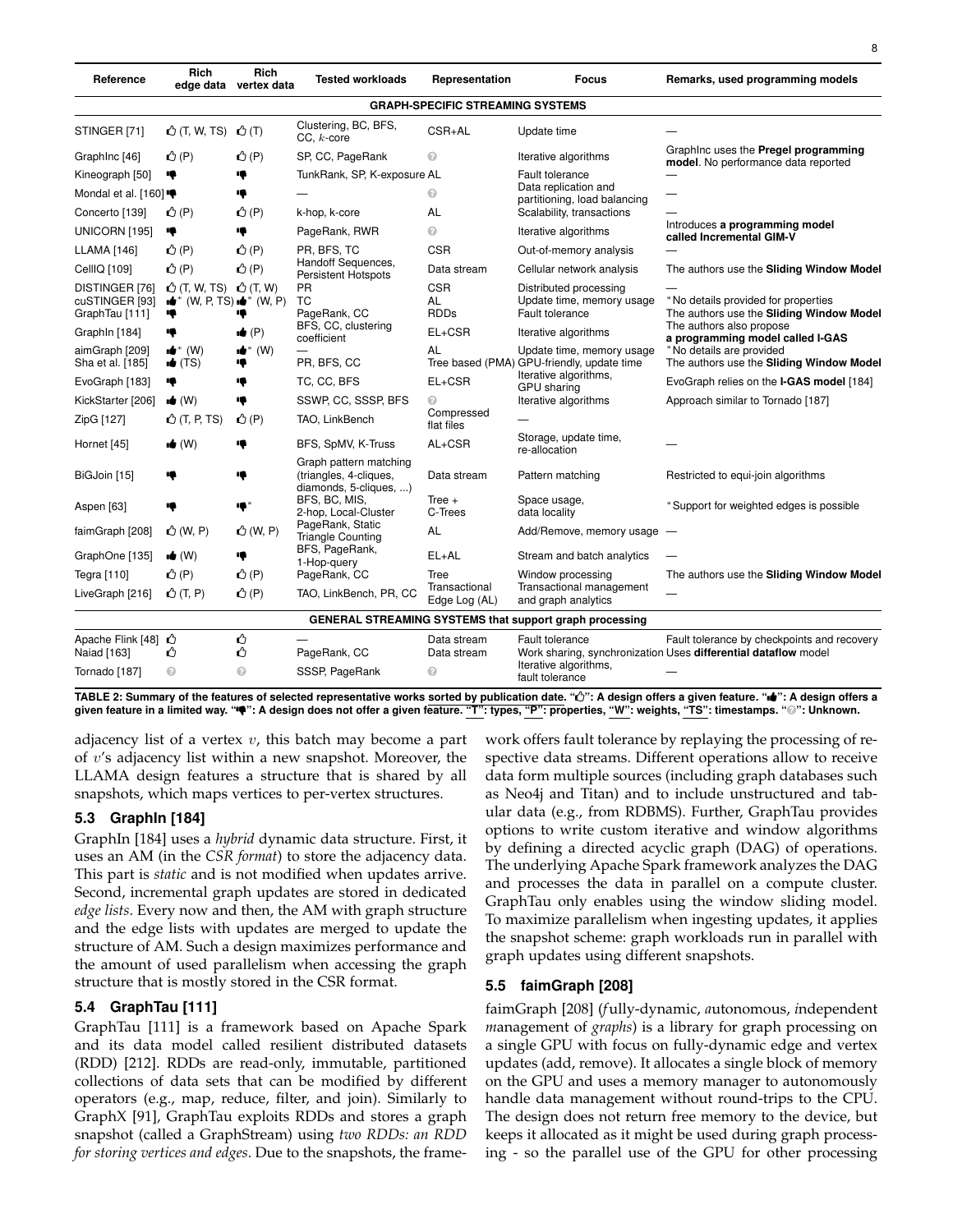| Reference                                          | Rich                                                                      | Rich<br>edge data vertex data    | <b>Tested workloads</b>                                                    | Representation                          | <b>Focus</b>                                                            | Remarks, used programming models                                                                              |
|----------------------------------------------------|---------------------------------------------------------------------------|----------------------------------|----------------------------------------------------------------------------|-----------------------------------------|-------------------------------------------------------------------------|---------------------------------------------------------------------------------------------------------------|
|                                                    |                                                                           |                                  |                                                                            | <b>GRAPH-SPECIFIC STREAMING SYSTEMS</b> |                                                                         |                                                                                                               |
| STINGER [71]                                       | $\bigcirc$ (T, W, TS)                                                     | <u> එ</u> (T)                    | Clustering, BC, BFS,<br>$CC. k-core$                                       | CSR+AL                                  | Update time                                                             |                                                                                                               |
| GraphInc [46]                                      | $\triangle$ (P)                                                           | $\triangle$ (P)                  | SP, CC, PageRank                                                           | ⋒                                       | Iterative algorithms                                                    | Graphinc uses the Pregel programming<br>model. No performance data reported                                   |
| Kineograph [50]                                    | ♥                                                                         |                                  | TunkRank, SP, K-exposure AL                                                |                                         | <b>Fault tolerance</b>                                                  |                                                                                                               |
| Mondal et al. [160]                                |                                                                           | Ę                                |                                                                            | ⋒                                       | Data replication and<br>partitioning, load balancing                    |                                                                                                               |
| Concerto [139]<br>i (P)                            |                                                                           | $\triangle$ (P)                  | k-hop, k-core                                                              | AL                                      | Scalability, transactions                                               |                                                                                                               |
| UNICORN [195]                                      | ų                                                                         | ¢                                | PageRank, RWR                                                              | $\odot$                                 | Iterative algorithms                                                    | Introduces a programming model<br>called Incremental GIM-V                                                    |
| <b>LLAMA</b> [146]                                 | $\triangle$ (P)                                                           | $\triangle$ (P)                  | PR, BFS, TC                                                                | <b>CSR</b>                              | Out-of-memory analysis                                                  |                                                                                                               |
| CellIQ [109]                                       | $\triangle$ (P)                                                           | $\triangle$ (P)                  | Handoff Sequences,<br>Persistent Hotspots                                  | Data stream                             | Cellular network analysis                                               | The authors use the Sliding Window Model                                                                      |
| DISTINGER [76]<br>cuSTINGER [93]<br>GraphTau [111] | $\triangle$ (T, W, TS)<br>$\mathbf{u}^*$ (W, P, TS) $\mathbf{u}^*$ (W, P) | $\triangle$ (T, W)               | <b>PR</b><br><b>TC</b><br>PageRank, CC                                     | <b>CSR</b><br>AL<br><b>RDDs</b>         | Distributed processing<br>Update time, memory usage<br>Fault tolerance  | *No details provided for properties<br>The authors use the Sliding Window Model                               |
| GraphIn [184]                                      | ♥                                                                         | $\bullet$ (P)                    | BFS, CC, clustering<br>coefficient                                         | $EL+CSR$                                | Iterative algorithms                                                    | The authors also propose<br>a programming model called I-GAS                                                  |
| aimGraph [209]<br>Sha et al. [185]                 | $\bullet^*$ (W)<br>$\bullet$ (TS)                                         | <b>id</b> <sup>*</sup> (W)<br>10 | PR, BFS, CC                                                                | AL                                      | Update time, memory usage<br>Tree based (PMA) GPU-friendly, update time | *No details are provided<br>The authors use the Sliding Window Model                                          |
| EvoGraph [183]                                     | ₩                                                                         | ♥                                | TC, CC, BFS                                                                | $EL+CSR$                                | Iterative algorithms,<br><b>GPU</b> sharing                             | EvoGraph relies on the I-GAS model [184]                                                                      |
| KickStarter [206]                                  | $\bullet$ (W)                                                             | ą                                | SSWP, CC, SSSP, BFS                                                        | 0                                       | Iterative algorithms                                                    | Approach similar to Tornado [187]                                                                             |
| ZipG [127]                                         | $\triangle$ (T, P, TS)                                                    | $\triangle$ (P)                  | TAO, LinkBench                                                             | Compressed<br>flat files                |                                                                         |                                                                                                               |
| Hornet [45]                                        | $\bullet$ (W)                                                             |                                  | BFS, SpMV, K-Truss                                                         | AL+CSR                                  | Storage, update time,<br>re-allocation                                  |                                                                                                               |
| BiGJoin [15]                                       |                                                                           |                                  | Graph pattern matching<br>(triangles, 4-cliques,<br>diamonds, 5-cliques, ) | Data stream                             | Pattern matching                                                        | Restricted to equi-join algorithms                                                                            |
| Aspen [63]                                         | ♥                                                                         | ♦                                | BFS, BC, MIS,<br>2-hop, Local-Cluster                                      | Tree $+$<br>C-Trees                     | Space usage,<br>data locality                                           | *Support for weighted edges is possible                                                                       |
| faimGraph [208]                                    | $\bigcirc$ (W, P)                                                         | $\triangle$ (W, P)               | PageRank, Static<br><b>Triangle Counting</b>                               | AL                                      | Add/Remove, memory usage                                                |                                                                                                               |
| GraphOne [135]                                     | $\bullet$ (W)                                                             | ņ                                | BFS, PageRank,<br>1-Hop-query                                              | $EL+AL$                                 | Stream and batch analytics                                              |                                                                                                               |
| Tegra [110]                                        | $\triangle$ (P)                                                           | $\triangle$ (P)                  | PageRank, CC                                                               | Tree                                    | Window processing                                                       | The authors use the Sliding Window Model                                                                      |
| LiveGraph [216]                                    | $\bigcirc$ (T, P)                                                         | $\triangle$ (P)                  | TAO, LinkBench, PR, CC                                                     | Transactional<br>Edge Log (AL)          | Transactional management<br>and graph analytics                         |                                                                                                               |
|                                                    |                                                                           |                                  |                                                                            |                                         | GENERAL STREAMING SYSTEMS that support graph processing                 |                                                                                                               |
| Apache Flink [48] +<br>Naiad [163]                 | Ű                                                                         | ↺<br>ᠿ                           | PageRank, CC                                                               | Data stream<br>Data stream              | <b>Fault tolerance</b><br>Iterative algorithms,                         | Fault tolerance by checkpoints and recovery<br>Work sharing, synchronization Uses differential dataflow model |
| Tornado [187]                                      | ℯ                                                                         | ℯ                                | SSSP, PageRank                                                             | 0                                       | fault tolerance                                                         |                                                                                                               |

**TABLE 2: Summary of the features of selected representative works sorted by publication date. "": A design offers a given feature. "": A design offers a given feature in a limited way. "": A design does not offer a given feature. "T": types, "P": properties, "W": weights, "TS": timestamps. "**Ê**": Unknown.**

adjacency list of a vertex  $v$ , this batch may become a part of v's adjacency list within a new snapshot. Moreover, the LLAMA design features a structure that is shared by all snapshots, which maps vertices to per-vertex structures.

# **5.3 GraphIn [184]**

GraphIn [184] uses a *hybrid* dynamic data structure. First, it uses an AM (in the *CSR format*) to store the adjacency data. This part is *static* and is not modified when updates arrive. Second, incremental graph updates are stored in dedicated *edge lists*. Every now and then, the AM with graph structure and the edge lists with updates are merged to update the structure of AM. Such a design maximizes performance and the amount of used parallelism when accessing the graph structure that is mostly stored in the CSR format.

# **5.4 GraphTau [111]**

GraphTau [111] is a framework based on Apache Spark and its data model called resilient distributed datasets (RDD) [212]. RDDs are read-only, immutable, partitioned collections of data sets that can be modified by different operators (e.g., map, reduce, filter, and join). Similarly to GraphX [91], GraphTau exploits RDDs and stores a graph snapshot (called a GraphStream) using *two RDDs: an RDD for storing vertices and edges*. Due to the snapshots, the framework offers fault tolerance by replaying the processing of respective data streams. Different operations allow to receive data form multiple sources (including graph databases such as Neo4j and Titan) and to include unstructured and tabular data (e.g., from RDBMS). Further, GraphTau provides options to write custom iterative and window algorithms by defining a directed acyclic graph (DAG) of operations. The underlying Apache Spark framework analyzes the DAG and processes the data in parallel on a compute cluster. GraphTau only enables using the window sliding model. To maximize parallelism when ingesting updates, it applies the snapshot scheme: graph workloads run in parallel with graph updates using different snapshots.

# **5.5 faimGraph [208]**

faimGraph [208] (*f*ully-dynamic, *a*utonomous, *i*ndependent *m*anagement of *graphs*) is a library for graph processing on a single GPU with focus on fully-dynamic edge and vertex updates (add, remove). It allocates a single block of memory on the GPU and uses a memory manager to autonomously handle data management without round-trips to the CPU. The design does not return free memory to the device, but keeps it allocated as it might be used during graph processing - so the parallel use of the GPU for other processing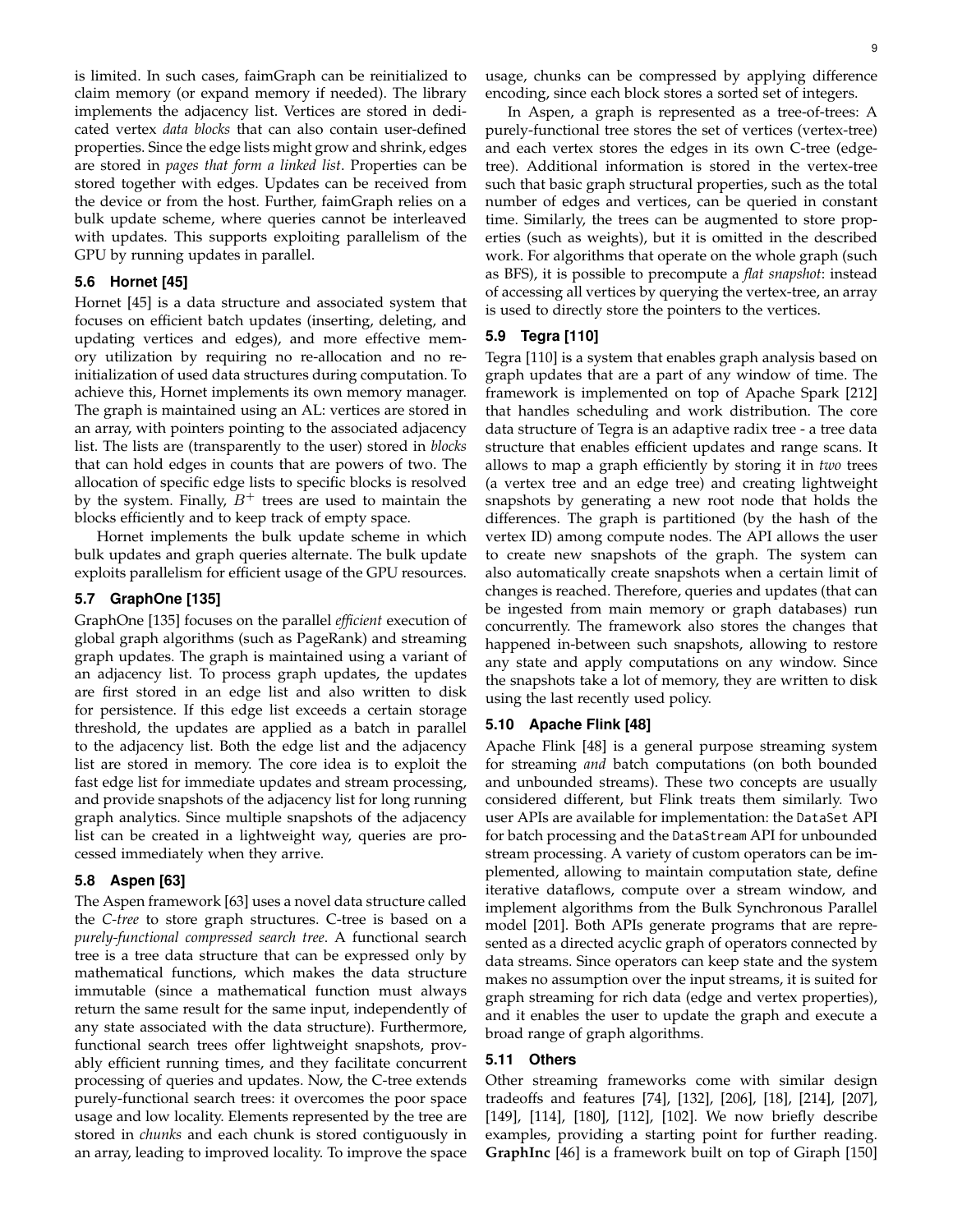is limited. In such cases, faimGraph can be reinitialized to claim memory (or expand memory if needed). The library implements the adjacency list. Vertices are stored in dedicated vertex *data blocks* that can also contain user-defined properties. Since the edge lists might grow and shrink, edges are stored in *pages that form a linked list*. Properties can be stored together with edges. Updates can be received from the device or from the host. Further, faimGraph relies on a bulk update scheme, where queries cannot be interleaved with updates. This supports exploiting parallelism of the GPU by running updates in parallel.

#### **5.6 Hornet [45]**

Hornet [45] is a data structure and associated system that focuses on efficient batch updates (inserting, deleting, and updating vertices and edges), and more effective memory utilization by requiring no re-allocation and no reinitialization of used data structures during computation. To achieve this, Hornet implements its own memory manager. The graph is maintained using an AL: vertices are stored in an array, with pointers pointing to the associated adjacency list. The lists are (transparently to the user) stored in *blocks* that can hold edges in counts that are powers of two. The allocation of specific edge lists to specific blocks is resolved by the system. Finally,  $B^+$  trees are used to maintain the blocks efficiently and to keep track of empty space.

Hornet implements the bulk update scheme in which bulk updates and graph queries alternate. The bulk update exploits parallelism for efficient usage of the GPU resources.

# **5.7 GraphOne [135]**

GraphOne [135] focuses on the parallel *efficient* execution of global graph algorithms (such as PageRank) and streaming graph updates. The graph is maintained using a variant of an adjacency list. To process graph updates, the updates are first stored in an edge list and also written to disk for persistence. If this edge list exceeds a certain storage threshold, the updates are applied as a batch in parallel to the adjacency list. Both the edge list and the adjacency list are stored in memory. The core idea is to exploit the fast edge list for immediate updates and stream processing, and provide snapshots of the adjacency list for long running graph analytics. Since multiple snapshots of the adjacency list can be created in a lightweight way, queries are processed immediately when they arrive.

#### **5.8 Aspen [63]**

The Aspen framework [63] uses a novel data structure called the *C-tree* to store graph structures. C-tree is based on a *purely-functional compressed search tree*. A functional search tree is a tree data structure that can be expressed only by mathematical functions, which makes the data structure immutable (since a mathematical function must always return the same result for the same input, independently of any state associated with the data structure). Furthermore, functional search trees offer lightweight snapshots, provably efficient running times, and they facilitate concurrent processing of queries and updates. Now, the C-tree extends purely-functional search trees: it overcomes the poor space usage and low locality. Elements represented by the tree are stored in *chunks* and each chunk is stored contiguously in an array, leading to improved locality. To improve the space

In Aspen, a graph is represented as a tree-of-trees: A purely-functional tree stores the set of vertices (vertex-tree) and each vertex stores the edges in its own C-tree (edgetree). Additional information is stored in the vertex-tree such that basic graph structural properties, such as the total number of edges and vertices, can be queried in constant time. Similarly, the trees can be augmented to store properties (such as weights), but it is omitted in the described work. For algorithms that operate on the whole graph (such as BFS), it is possible to precompute a *flat snapshot*: instead of accessing all vertices by querying the vertex-tree, an array is used to directly store the pointers to the vertices.

#### **5.9 Tegra [110]**

Tegra [110] is a system that enables graph analysis based on graph updates that are a part of any window of time. The framework is implemented on top of Apache Spark [212] that handles scheduling and work distribution. The core data structure of Tegra is an adaptive radix tree - a tree data structure that enables efficient updates and range scans. It allows to map a graph efficiently by storing it in *two* trees (a vertex tree and an edge tree) and creating lightweight snapshots by generating a new root node that holds the differences. The graph is partitioned (by the hash of the vertex ID) among compute nodes. The API allows the user to create new snapshots of the graph. The system can also automatically create snapshots when a certain limit of changes is reached. Therefore, queries and updates (that can be ingested from main memory or graph databases) run concurrently. The framework also stores the changes that happened in-between such snapshots, allowing to restore any state and apply computations on any window. Since the snapshots take a lot of memory, they are written to disk using the last recently used policy.

# **5.10 Apache Flink [48]**

Apache Flink [48] is a general purpose streaming system for streaming *and* batch computations (on both bounded and unbounded streams). These two concepts are usually considered different, but Flink treats them similarly. Two user APIs are available for implementation: the DataSet API for batch processing and the DataStream API for unbounded stream processing. A variety of custom operators can be implemented, allowing to maintain computation state, define iterative dataflows, compute over a stream window, and implement algorithms from the Bulk Synchronous Parallel model [201]. Both APIs generate programs that are represented as a directed acyclic graph of operators connected by data streams. Since operators can keep state and the system makes no assumption over the input streams, it is suited for graph streaming for rich data (edge and vertex properties), and it enables the user to update the graph and execute a broad range of graph algorithms.

### **5.11 Others**

Other streaming frameworks come with similar design tradeoffs and features [74], [132], [206], [18], [214], [207], [149], [114], [180], [112], [102]. We now briefly describe examples, providing a starting point for further reading. **GraphInc** [46] is a framework built on top of Giraph [150]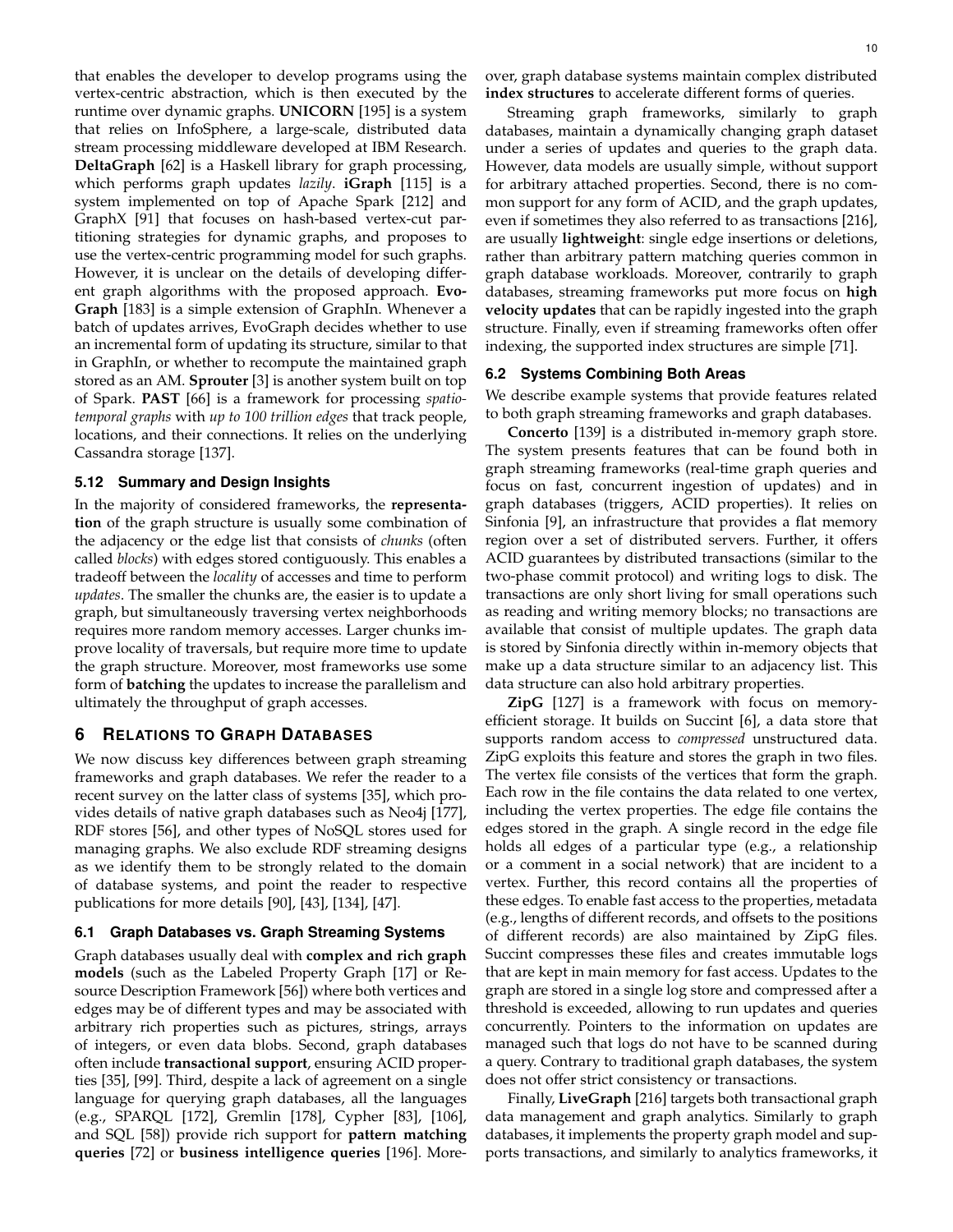that enables the developer to develop programs using the vertex-centric abstraction, which is then executed by the runtime over dynamic graphs. **UNICORN** [195] is a system that relies on InfoSphere, a large-scale, distributed data stream processing middleware developed at IBM Research. **DeltaGraph** [62] is a Haskell library for graph processing, which performs graph updates *lazily*. **iGraph** [115] is a system implemented on top of Apache Spark [212] and GraphX [91] that focuses on hash-based vertex-cut partitioning strategies for dynamic graphs, and proposes to use the vertex-centric programming model for such graphs. However, it is unclear on the details of developing different graph algorithms with the proposed approach. **Evo-Graph** [183] is a simple extension of GraphIn. Whenever a batch of updates arrives, EvoGraph decides whether to use an incremental form of updating its structure, similar to that in GraphIn, or whether to recompute the maintained graph stored as an AM. **Sprouter** [3] is another system built on top of Spark. **PAST** [66] is a framework for processing *spatiotemporal graphs* with *up to 100 trillion edges* that track people, locations, and their connections. It relies on the underlying Cassandra storage [137].

#### **5.12 Summary and Design Insights**

In the majority of considered frameworks, the **representation** of the graph structure is usually some combination of the adjacency or the edge list that consists of *chunks* (often called *blocks*) with edges stored contiguously. This enables a tradeoff between the *locality* of accesses and time to perform *updates*. The smaller the chunks are, the easier is to update a graph, but simultaneously traversing vertex neighborhoods requires more random memory accesses. Larger chunks improve locality of traversals, but require more time to update the graph structure. Moreover, most frameworks use some form of **batching** the updates to increase the parallelism and ultimately the throughput of graph accesses.

# **6 RELATIONS TO GRAPH DATABASES**

We now discuss key differences between graph streaming frameworks and graph databases. We refer the reader to a recent survey on the latter class of systems [35], which provides details of native graph databases such as Neo4j [177], RDF stores [56], and other types of NoSQL stores used for managing graphs. We also exclude RDF streaming designs as we identify them to be strongly related to the domain of database systems, and point the reader to respective publications for more details [90], [43], [134], [47].

# **6.1 Graph Databases vs. Graph Streaming Systems**

Graph databases usually deal with **complex and rich graph models** (such as the Labeled Property Graph [17] or Resource Description Framework [56]) where both vertices and edges may be of different types and may be associated with arbitrary rich properties such as pictures, strings, arrays of integers, or even data blobs. Second, graph databases often include **transactional support**, ensuring ACID properties [35], [99]. Third, despite a lack of agreement on a single language for querying graph databases, all the languages (e.g., SPARQL [172], Gremlin [178], Cypher [83], [106], and SQL [58]) provide rich support for **pattern matching queries** [72] or **business intelligence queries** [196]. More-

Streaming graph frameworks, similarly to graph databases, maintain a dynamically changing graph dataset under a series of updates and queries to the graph data. However, data models are usually simple, without support for arbitrary attached properties. Second, there is no common support for any form of ACID, and the graph updates, even if sometimes they also referred to as transactions [216], are usually **lightweight**: single edge insertions or deletions, rather than arbitrary pattern matching queries common in graph database workloads. Moreover, contrarily to graph databases, streaming frameworks put more focus on **high velocity updates** that can be rapidly ingested into the graph structure. Finally, even if streaming frameworks often offer indexing, the supported index structures are simple [71].

#### **6.2 Systems Combining Both Areas**

We describe example systems that provide features related to both graph streaming frameworks and graph databases.

**Concerto** [139] is a distributed in-memory graph store. The system presents features that can be found both in graph streaming frameworks (real-time graph queries and focus on fast, concurrent ingestion of updates) and in graph databases (triggers, ACID properties). It relies on Sinfonia [9], an infrastructure that provides a flat memory region over a set of distributed servers. Further, it offers ACID guarantees by distributed transactions (similar to the two-phase commit protocol) and writing logs to disk. The transactions are only short living for small operations such as reading and writing memory blocks; no transactions are available that consist of multiple updates. The graph data is stored by Sinfonia directly within in-memory objects that make up a data structure similar to an adjacency list. This data structure can also hold arbitrary properties.

**ZipG** [127] is a framework with focus on memoryefficient storage. It builds on Succint [6], a data store that supports random access to *compressed* unstructured data. ZipG exploits this feature and stores the graph in two files. The vertex file consists of the vertices that form the graph. Each row in the file contains the data related to one vertex, including the vertex properties. The edge file contains the edges stored in the graph. A single record in the edge file holds all edges of a particular type (e.g., a relationship or a comment in a social network) that are incident to a vertex. Further, this record contains all the properties of these edges. To enable fast access to the properties, metadata (e.g., lengths of different records, and offsets to the positions of different records) are also maintained by ZipG files. Succint compresses these files and creates immutable logs that are kept in main memory for fast access. Updates to the graph are stored in a single log store and compressed after a threshold is exceeded, allowing to run updates and queries concurrently. Pointers to the information on updates are managed such that logs do not have to be scanned during a query. Contrary to traditional graph databases, the system does not offer strict consistency or transactions.

Finally, **LiveGraph** [216] targets both transactional graph data management and graph analytics. Similarly to graph databases, it implements the property graph model and supports transactions, and similarly to analytics frameworks, it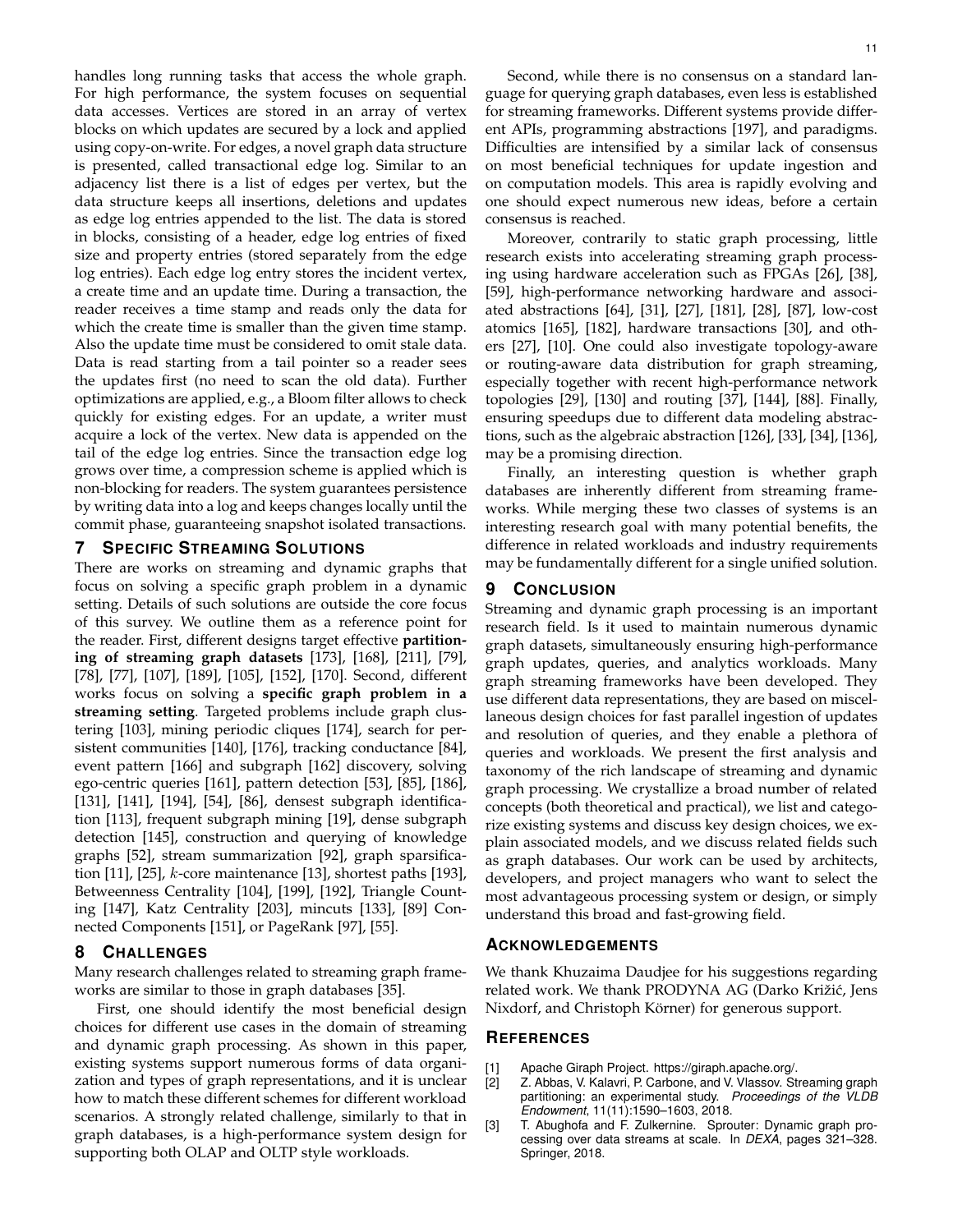handles long running tasks that access the whole graph. For high performance, the system focuses on sequential data accesses. Vertices are stored in an array of vertex blocks on which updates are secured by a lock and applied using copy-on-write. For edges, a novel graph data structure is presented, called transactional edge log. Similar to an adjacency list there is a list of edges per vertex, but the data structure keeps all insertions, deletions and updates as edge log entries appended to the list. The data is stored in blocks, consisting of a header, edge log entries of fixed size and property entries (stored separately from the edge log entries). Each edge log entry stores the incident vertex, a create time and an update time. During a transaction, the reader receives a time stamp and reads only the data for which the create time is smaller than the given time stamp. Also the update time must be considered to omit stale data. Data is read starting from a tail pointer so a reader sees the updates first (no need to scan the old data). Further optimizations are applied, e.g., a Bloom filter allows to check quickly for existing edges. For an update, a writer must acquire a lock of the vertex. New data is appended on the tail of the edge log entries. Since the transaction edge log grows over time, a compression scheme is applied which is non-blocking for readers. The system guarantees persistence by writing data into a log and keeps changes locally until the commit phase, guaranteeing snapshot isolated transactions.

# **7 SPECIFIC STREAMING SOLUTIONS**

There are works on streaming and dynamic graphs that focus on solving a specific graph problem in a dynamic setting. Details of such solutions are outside the core focus of this survey. We outline them as a reference point for the reader. First, different designs target effective **partitioning of streaming graph datasets** [173], [168], [211], [79], [78], [77], [107], [189], [105], [152], [170]. Second, different works focus on solving a **specific graph problem in a streaming setting**. Targeted problems include graph clustering [103], mining periodic cliques [174], search for persistent communities [140], [176], tracking conductance [84], event pattern [166] and subgraph [162] discovery, solving ego-centric queries [161], pattern detection [53], [85], [186], [131], [141], [194], [54], [86], densest subgraph identification [113], frequent subgraph mining [19], dense subgraph detection [145], construction and querying of knowledge graphs [52], stream summarization [92], graph sparsification [11], [25],  $k$ -core maintenance [13], shortest paths [193], Betweenness Centrality [104], [199], [192], Triangle Counting [147], Katz Centrality [203], mincuts [133], [89] Connected Components [151], or PageRank [97], [55].

#### **8 CHALLENGES**

Many research challenges related to streaming graph frameworks are similar to those in graph databases [35].

First, one should identify the most beneficial design choices for different use cases in the domain of streaming and dynamic graph processing. As shown in this paper, existing systems support numerous forms of data organization and types of graph representations, and it is unclear how to match these different schemes for different workload scenarios. A strongly related challenge, similarly to that in graph databases, is a high-performance system design for supporting both OLAP and OLTP style workloads.

Second, while there is no consensus on a standard language for querying graph databases, even less is established for streaming frameworks. Different systems provide different APIs, programming abstractions [197], and paradigms. Difficulties are intensified by a similar lack of consensus on most beneficial techniques for update ingestion and on computation models. This area is rapidly evolving and one should expect numerous new ideas, before a certain consensus is reached.

Moreover, contrarily to static graph processing, little research exists into accelerating streaming graph processing using hardware acceleration such as FPGAs [26], [38], [59], high-performance networking hardware and associated abstractions [64], [31], [27], [181], [28], [87], low-cost atomics [165], [182], hardware transactions [30], and others [27], [10]. One could also investigate topology-aware or routing-aware data distribution for graph streaming, especially together with recent high-performance network topologies [29], [130] and routing [37], [144], [88]. Finally, ensuring speedups due to different data modeling abstractions, such as the algebraic abstraction [126], [33], [34], [136], may be a promising direction.

Finally, an interesting question is whether graph databases are inherently different from streaming frameworks. While merging these two classes of systems is an interesting research goal with many potential benefits, the difference in related workloads and industry requirements may be fundamentally different for a single unified solution.

#### **9 CONCLUSION**

Streaming and dynamic graph processing is an important research field. Is it used to maintain numerous dynamic graph datasets, simultaneously ensuring high-performance graph updates, queries, and analytics workloads. Many graph streaming frameworks have been developed. They use different data representations, they are based on miscellaneous design choices for fast parallel ingestion of updates and resolution of queries, and they enable a plethora of queries and workloads. We present the first analysis and taxonomy of the rich landscape of streaming and dynamic graph processing. We crystallize a broad number of related concepts (both theoretical and practical), we list and categorize existing systems and discuss key design choices, we explain associated models, and we discuss related fields such as graph databases. Our work can be used by architects, developers, and project managers who want to select the most advantageous processing system or design, or simply understand this broad and fast-growing field.

# **ACKNOWLEDGEMENTS**

We thank Khuzaima Daudjee for his suggestions regarding related work. We thank PRODYNA AG (Darko Križić, Jens Nixdorf, and Christoph Körner) for generous support.

#### **REFERENCES**

- [1] Apache Giraph Project. https://giraph.apache.org/.
- [2] Z. Abbas, V. Kalavri, P. Carbone, and V. Vlassov. Streaming graph partitioning: an experimental study. *Proceedings of the VLDB Endowment*, 11(11):1590–1603, 2018.
- [3] T. Abughofa and F. Zulkernine. Sprouter: Dynamic graph processing over data streams at scale. In *DEXA*, pages 321–328. Springer, 2018.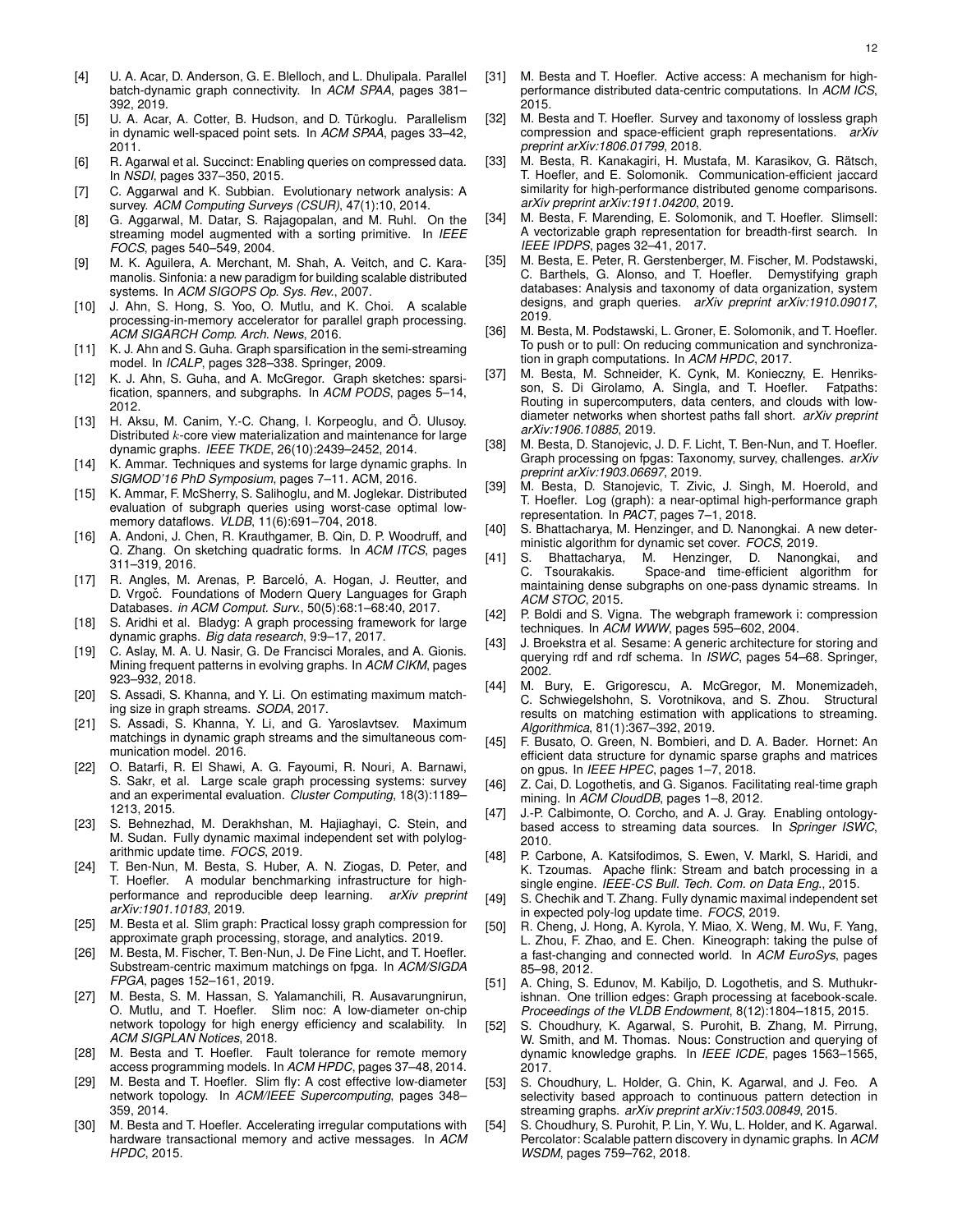- [4] U. A. Acar, D. Anderson, G. E. Blelloch, and L. Dhulipala. Parallel batch-dynamic graph connectivity. In *ACM SPAA*, pages 381– 392, 2019.
- [5] U. A. Acar, A. Cotter, B. Hudson, and D. Türkoglu. Parallelism in dynamic well-spaced point sets. In *ACM SPAA*, pages 33–42, 2011.
- [6] R. Agarwal et al. Succinct: Enabling queries on compressed data. In *NSDI*, pages 337–350, 2015.
- [7] C. Aggarwal and K. Subbian. Evolutionary network analysis: A survey. *ACM Computing Surveys (CSUR)*, 47(1):10, 2014.
- [8] G. Aggarwal, M. Datar, S. Rajagopalan, and M. Ruhl. On the streaming model augmented with a sorting primitive. In *IEEE FOCS*, pages 540–549, 2004.
- [9] M. K. Aguilera, A. Merchant, M. Shah, A. Veitch, and C. Karamanolis. Sinfonia: a new paradigm for building scalable distributed systems. In *ACM SIGOPS Op. Sys. Rev.*, 2007.
- [10] J. Ahn, S. Hong, S. Yoo, O. Mutlu, and K. Choi. A scalable processing-in-memory accelerator for parallel graph processing. *ACM SIGARCH Comp. Arch. News*, 2016.
- [11] K. J. Ahn and S. Guha. Graph sparsification in the semi-streaming model. In *ICALP*, pages 328–338. Springer, 2009.
- [12] K. J. Ahn, S. Guha, and A. McGregor. Graph sketches: sparsification, spanners, and subgraphs. In *ACM PODS*, pages 5–14, 2012.
- [13] H. Aksu, M. Canim, Y.-C. Chang, I. Korpeoglu, and Ö. Ulusoy. Distributed k-core view materialization and maintenance for large dynamic graphs. *IEEE TKDE*, 26(10):2439–2452, 2014.
- [14] K. Ammar. Techniques and systems for large dynamic graphs. In *SIGMOD'16 PhD Symposium*, pages 7–11. ACM, 2016.
- [15] K. Ammar, F. McSherry, S. Salihoglu, and M. Joglekar. Distributed evaluation of subgraph queries using worst-case optimal lowmemory dataflows. *VLDB*, 11(6):691–704, 2018.
- A. Andoni, J. Chen, R. Krauthgamer, B. Qin, D. P. Woodruff, and Q. Zhang. On sketching quadratic forms. In *ACM ITCS*, pages 311–319, 2016.
- [17] R. Angles, M. Arenas, P. Barceló, A. Hogan, J. Reutter, and D. Vrgoč. Foundations of Modern Query Languages for Graph Databases. *in ACM Comput. Surv.*, 50(5):68:1–68:40, 2017.
- [18] S. Aridhi et al. Bladyg: A graph processing framework for large dynamic graphs. *Big data research*, 9:9–17, 2017.
- [19] C. Aslay, M. A. U. Nasir, G. De Francisci Morales, and A. Gionis. Mining frequent patterns in evolving graphs. In *ACM CIKM*, pages 923–932, 2018.
- [20] S. Assadi, S. Khanna, and Y. Li. On estimating maximum matching size in graph streams. *SODA*, 2017.
- [21] S. Assadi, S. Khanna, Y. Li, and G. Yaroslavtsev. Maximum matchings in dynamic graph streams and the simultaneous communication model. 2016.
- [22] O. Batarfi, R. El Shawi, A. G. Fayoumi, R. Nouri, A. Barnawi, S. Sakr, et al. Large scale graph processing systems: survey and an experimental evaluation. *Cluster Computing*, 18(3):1189– 1213, 2015.
- [23] S. Behnezhad, M. Derakhshan, M. Hajiaghayi, C. Stein, and M. Sudan. Fully dynamic maximal independent set with polylogarithmic update time. *FOCS*, 2019.
- [24] T. Ben-Nun, M. Besta, S. Huber, A. N. Ziogas, D. Peter, and T. Hoefler. A modular benchmarking infrastructure for highperformance and reproducible deep learning. *arXiv preprint arXiv:1901.10183*, 2019.
- [25] M. Besta et al. Slim graph: Practical lossy graph compression for approximate graph processing, storage, and analytics. 2019.
- [26] M. Besta, M. Fischer, T. Ben-Nun, J. De Fine Licht, and T. Hoefler. Substream-centric maximum matchings on fpga. In *ACM/SIGDA FPGA*, pages 152–161, 2019.
- [27] M. Besta, S. M. Hassan, S. Yalamanchili, R. Ausavarungnirun, O. Mutlu, and T. Hoefler. Slim noc: A low-diameter on-chip network topology for high energy efficiency and scalability. In *ACM SIGPLAN Notices*, 2018.
- [28] M. Besta and T. Hoefler. Fault tolerance for remote memory access programming models. In *ACM HPDC*, pages 37–48, 2014.
- [29] M. Besta and T. Hoefler. Slim fly: A cost effective low-diameter network topology. In *ACM/IEEE Supercomputing*, pages 348– 359, 2014.
- [30] M. Besta and T. Hoefler. Accelerating irregular computations with hardware transactional memory and active messages. In *ACM HPDC*, 2015.
- [31] M. Besta and T. Hoefler. Active access: A mechanism for highperformance distributed data-centric computations. In *ACM ICS*, 2015.
- [32] M. Besta and T. Hoefler. Survey and taxonomy of lossless graph compression and space-efficient graph representations. *arXiv preprint arXiv:1806.01799*, 2018.
- [33] M. Besta, R. Kanakagiri, H. Mustafa, M. Karasikov, G. Rätsch, T. Hoefler, and E. Solomonik. Communication-efficient jaccard similarity for high-performance distributed genome comparisons. *arXiv preprint arXiv:1911.04200*, 2019.
- [34] M. Besta, F. Marending, E. Solomonik, and T. Hoefler. Slimsell: A vectorizable graph representation for breadth-first search. In *IEEE IPDPS*, pages 32–41, 2017.
- [35] M. Besta, E. Peter, R. Gerstenberger, M. Fischer, M. Podstawski, C. Barthels, G. Alonso, and T. Hoefler. Demystifying graph databases: Analysis and taxonomy of data organization, system designs, and graph queries. *arXiv preprint arXiv:1910.09017*, 2019.
- [36] M. Besta, M. Podstawski, L. Groner, E. Solomonik, and T. Hoefler. To push or to pull: On reducing communication and synchronization in graph computations. In *ACM HPDC*, 2017.
- [37] M. Besta, M. Schneider, K. Cynk, M. Konieczny, E. Henriksson, S. Di Girolamo, A. Singla, and T. Hoefler. Fatpaths: Routing in supercomputers, data centers, and clouds with lowdiameter networks when shortest paths fall short. *arXiv preprint arXiv:1906.10885*, 2019.
- [38] M. Besta, D. Stanojevic, J. D. F. Licht, T. Ben-Nun, and T. Hoefler. Graph processing on fpgas: Taxonomy, survey, challenges. *arXiv preprint arXiv:1903.06697*, 2019.
- [39] M. Besta, D. Stanojevic, T. Zivic, J. Singh, M. Hoerold, and T. Hoefler. Log (graph): a near-optimal high-performance graph representation. In *PACT*, pages 7–1, 2018.
- S. Bhattacharya, M. Henzinger, and D. Nanongkai. A new deterministic algorithm for dynamic set cover. *FOCS*, 2019.
- [41] S. Bhattacharya, M. Henzinger, D. Nanongkai, and Space-and time-efficient algorithm for maintaining dense subgraphs on one-pass dynamic streams. In *ACM STOC*, 2015.
- [42] P. Boldi and S. Vigna. The webgraph framework i: compression techniques. In *ACM WWW*, pages 595–602, 2004.
- [43] J. Broekstra et al. Sesame: A generic architecture for storing and querying rdf and rdf schema. In *ISWC*, pages 54–68. Springer, 2002.
- [44] M. Bury, E. Grigorescu, A. McGregor, M. Monemizadeh, C. Schwiegelshohn, S. Vorotnikova, and S. Zhou. Structural results on matching estimation with applications to streaming. *Algorithmica*, 81(1):367–392, 2019.
- [45] F. Busato, O. Green, N. Bombieri, and D. A. Bader. Hornet: An efficient data structure for dynamic sparse graphs and matrices on gpus. In *IEEE HPEC*, pages 1–7, 2018.
- [46] Z. Cai, D. Logothetis, and G. Siganos. Facilitating real-time graph mining. In *ACM CloudDB*, pages 1–8, 2012.
- [47] J.-P. Calbimonte, O. Corcho, and A. J. Gray. Enabling ontologybased access to streaming data sources. In *Springer ISWC*, 2010.
- [48] P. Carbone, A. Katsifodimos, S. Ewen, V. Markl, S. Haridi, and K. Tzoumas. Apache flink: Stream and batch processing in a single engine. *IEEE-CS Bull. Tech. Com. on Data Eng.*, 2015.
- [49] S. Chechik and T. Zhang. Fully dynamic maximal independent set in expected poly-log update time. *FOCS*, 2019.
- [50] R. Cheng, J. Hong, A. Kyrola, Y. Miao, X. Weng, M. Wu, F. Yang, L. Zhou, F. Zhao, and E. Chen. Kineograph: taking the pulse of a fast-changing and connected world. In *ACM EuroSys*, pages 85–98, 2012.
- [51] A. Ching, S. Edunov, M. Kabiljo, D. Logothetis, and S. Muthukrishnan. One trillion edges: Graph processing at facebook-scale. *Proceedings of the VLDB Endowment*, 8(12):1804–1815, 2015.
- [52] S. Choudhury, K. Agarwal, S. Purohit, B. Zhang, M. Pirrung, W. Smith, and M. Thomas. Nous: Construction and querying of dynamic knowledge graphs. In *IEEE ICDE*, pages 1563–1565, 2017.
- [53] S. Choudhury, L. Holder, G. Chin, K. Agarwal, and J. Feo. selectivity based approach to continuous pattern detection in streaming graphs. *arXiv preprint arXiv:1503.00849*, 2015.
- [54] S. Choudhury, S. Purohit, P. Lin, Y. Wu, L. Holder, and K. Agarwal. Percolator: Scalable pattern discovery in dynamic graphs. In *ACM WSDM*, pages 759–762, 2018.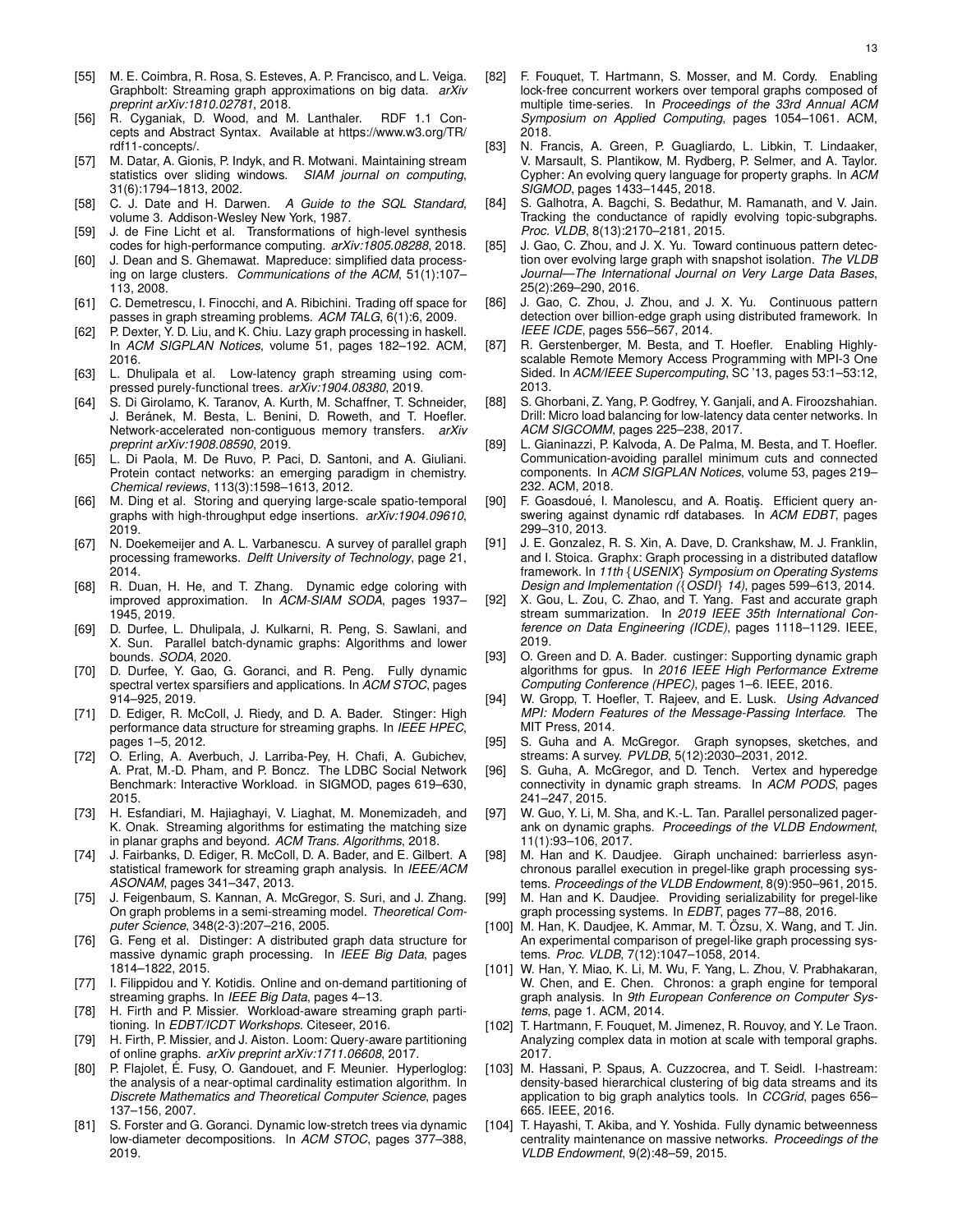- [55] M. E. Coimbra, R. Rosa, S. Esteves, A. P. Francisco, and L. Veiga. Graphbolt: Streaming graph approximations on big data. *arXiv preprint arXiv:1810.02781*, 2018.
- [56] R. Cyganiak, D. Wood, and M. Lanthaler. RDF 1.1 Concepts and Abstract Syntax. Available at https://www.w3.org/TR/ rdf11-concepts/.
- [57] M. Datar, A. Gionis, P. Indyk, and R. Motwani. Maintaining stream statistics over sliding windows. *SIAM journal on computing*, 31(6):1794–1813, 2002.
- [58] C. J. Date and H. Darwen. *A Guide to the SQL Standard*, volume 3. Addison-Wesley New York, 1987.
- [59] J. de Fine Licht et al. Transformations of high-level synthesis codes for high-performance computing. *arXiv:1805.08288*, 2018.
- [60] J. Dean and S. Ghemawat. Mapreduce: simplified data processing on large clusters. *Communications of the ACM*, 51(1):107– 113, 2008.
- [61] C. Demetrescu, I. Finocchi, and A. Ribichini. Trading off space for passes in graph streaming problems. *ACM TALG*, 6(1):6, 2009.
- [62] P. Dexter, Y. D. Liu, and K. Chiu. Lazy graph processing in haskell. In *ACM SIGPLAN Notices*, volume 51, pages 182–192. ACM, 2016.
- [63] L. Dhulipala et al. Low-latency graph streaming using compressed purely-functional trees. *arXiv:1904.08380*, 2019.
- [64] S. Di Girolamo, K. Taranov, A. Kurth, M. Schaffner, T. Schneider, J. Beránek, M. Besta, L. Benini, D. Roweth, and T. Hoefler. Network-accelerated non-contiguous memory transfers. *arXiv preprint arXiv:1908.08590*, 2019.
- [65] L. Di Paola, M. De Ruvo, P. Paci, D. Santoni, and A. Giuliani. Protein contact networks: an emerging paradigm in chemistry. *Chemical reviews*, 113(3):1598–1613, 2012.
- [66] M. Ding et al. Storing and querying large-scale spatio-temporal graphs with high-throughput edge insertions. *arXiv:1904.09610*, 2019.
- [67] N. Doekemeijer and A. L. Varbanescu. A survey of parallel graph processing frameworks. *Delft University of Technology*, page 21, 2014.
- [68] R. Duan, H. He, and T. Zhang. Dynamic edge coloring with improved approximation. In *ACM-SIAM SODA*, pages 1937– 1945, 2019.
- [69] D. Durfee, L. Dhulipala, J. Kulkarni, R. Peng, S. Sawlani, and X. Sun. Parallel batch-dynamic graphs: Algorithms and lower bounds. *SODA*, 2020.
- [70] D. Durfee, Y. Gao, G. Goranci, and R. Peng. Fully dynamic spectral vertex sparsifiers and applications. In *ACM STOC*, pages 914–925, 2019.
- [71] D. Ediger, R. McColl, J. Riedy, and D. A. Bader. Stinger: High performance data structure for streaming graphs. In *IEEE HPEC*, pages 1–5, 2012.
- [72] O. Erling, A. Averbuch, J. Larriba-Pey, H. Chafi, A. Gubichev, A. Prat, M.-D. Pham, and P. Boncz. The LDBC Social Network Benchmark: Interactive Workload. in SIGMOD, pages 619–630, 2015.
- [73] H. Esfandiari, M. Hajiaghayi, V. Liaghat, M. Monemizadeh, and K. Onak. Streaming algorithms for estimating the matching size in planar graphs and beyond. *ACM Trans. Algorithms*, 2018.
- [74] J. Fairbanks, D. Ediger, R. McColl, D. A. Bader, and E. Gilbert. A statistical framework for streaming graph analysis. In *IEEE/ACM ASONAM*, pages 341–347, 2013.
- [75] J. Feigenbaum, S. Kannan, A. McGregor, S. Suri, and J. Zhang. On graph problems in a semi-streaming model. *Theoretical Computer Science*, 348(2-3):207–216, 2005.
- [76] G. Feng et al. Distinger: A distributed graph data structure for massive dynamic graph processing. In *IEEE Big Data*, pages 1814–1822, 2015.
- [77] I. Filippidou and Y. Kotidis. Online and on-demand partitioning of streaming graphs. In *IEEE Big Data*, pages 4–13.
- [78] H. Firth and P. Missier. Workload-aware streaming graph partitioning. In *EDBT/ICDT Workshops*. Citeseer, 2016.
- [79] H. Firth, P. Missier, and J. Aiston. Loom: Query-aware partitioning of online graphs. *arXiv preprint arXiv:1711.06608*, 2017.
- [80] P. Flajolet, É. Fusy, O. Gandouet, and F. Meunier. Hyperloglog: the analysis of a near-optimal cardinality estimation algorithm. In *Discrete Mathematics and Theoretical Computer Science*, pages 137–156, 2007.
- [81] S. Forster and G. Goranci. Dynamic low-stretch trees via dynamic low-diameter decompositions. In *ACM STOC*, pages 377–388, 2019.
- [82] F. Fouquet, T. Hartmann, S. Mosser, and M. Cordy. Enabling lock-free concurrent workers over temporal graphs composed of multiple time-series. In *Proceedings of the 33rd Annual ACM Symposium on Applied Computing*, pages 1054–1061. ACM, 2018.
- [83] N. Francis, A. Green, P. Guagliardo, L. Libkin, T. Lindaaker, V. Marsault, S. Plantikow, M. Rydberg, P. Selmer, and A. Taylor. Cypher: An evolving query language for property graphs. In *ACM SIGMOD*, pages 1433–1445, 2018.
- [84] S. Galhotra, A. Bagchi, S. Bedathur, M. Ramanath, and V. Jain. Tracking the conductance of rapidly evolving topic-subgraphs. *Proc. VLDB*, 8(13):2170–2181, 2015.
- [85] J. Gao, C. Zhou, and J. X. Yu. Toward continuous pattern detection over evolving large graph with snapshot isolation. *The VLDB Journal—The International Journal on Very Large Data Bases*, 25(2):269–290, 2016.
- [86] J. Gao, C. Zhou, J. Zhou, and J. X. Yu. Continuous pattern detection over billion-edge graph using distributed framework. In *IEEE ICDE*, pages 556–567, 2014.
- [87] R. Gerstenberger, M. Besta, and T. Hoefler. Enabling Highlyscalable Remote Memory Access Programming with MPI-3 One Sided. In *ACM/IEEE Supercomputing*, SC '13, pages 53:1–53:12, 2013.
- [88] S. Ghorbani, Z. Yang, P. Godfrey, Y. Ganjali, and A. Firoozshahian. Drill: Micro load balancing for low-latency data center networks. In *ACM SIGCOMM*, pages 225–238, 2017.
- [89] L. Gianinazzi, P. Kalvoda, A. De Palma, M. Besta, and T. Hoefler. Communication-avoiding parallel minimum cuts and connected components. In *ACM SIGPLAN Notices*, volume 53, pages 219– 232. ACM, 2018.
- [90] F. Goasdoué, I. Manolescu, and A. Roatis. Efficient query answering against dynamic rdf databases. In *ACM EDBT*, pages 299–310, 2013.
- [91] J. E. Gonzalez, R. S. Xin, A. Dave, D. Crankshaw, M. J. Franklin, and I. Stoica. Graphx: Graph processing in a distributed dataflow framework. In *11th* {*USENIX*} *Symposium on Operating Systems Design and Implementation (*{*OSDI*} *14)*, pages 599–613, 2014.
- [92] X. Gou, L. Zou, C. Zhao, and T. Yang. Fast and accurate graph stream summarization. In *2019 IEEE 35th International Conference on Data Engineering (ICDE)*, pages 1118–1129. IEEE, 2019.
- [93] O. Green and D. A. Bader. custinger: Supporting dynamic graph algorithms for gpus. In *2016 IEEE High Performance Extreme Computing Conference (HPEC)*, pages 1–6. IEEE, 2016.
- [94] W. Gropp, T. Hoefler, T. Rajeev, and E. Lusk. *Using Advanced MPI: Modern Features of the Message-Passing Interface*. The MIT Press, 2014.
- [95] S. Guha and A. McGregor. Graph synopses, sketches, and streams: A survey. *PVLDB*, 5(12):2030–2031, 2012.
- [96] S. Guha, A. McGregor, and D. Tench. Vertex and hyperedge connectivity in dynamic graph streams. In *ACM PODS*, pages 241–247, 2015.
- [97] W. Guo, Y. Li, M. Sha, and K.-L. Tan. Parallel personalized pagerank on dynamic graphs. *Proceedings of the VLDB Endowment*, 11(1):93–106, 2017.
- [98] M. Han and K. Daudjee. Giraph unchained: barrierless asynchronous parallel execution in pregel-like graph processing systems. *Proceedings of the VLDB Endowment*, 8(9):950–961, 2015.
- [99] M. Han and K. Daudjee. Providing serializability for pregel-like graph processing systems. In *EDBT*, pages 77–88, 2016.
- [100] M. Han, K. Daudjee, K. Ammar, M. T. Özsu, X. Wang, and T. Jin. An experimental comparison of pregel-like graph processing systems. *Proc. VLDB*, 7(12):1047–1058, 2014.
- [101] W. Han, Y. Miao, K. Li, M. Wu, F. Yang, L. Zhou, V. Prabhakaran, W. Chen, and E. Chen. Chronos: a graph engine for temporal graph analysis. In *9th European Conference on Computer Systems*, page 1. ACM, 2014.
- [102] T. Hartmann, F. Fouquet, M. Jimenez, R. Rouvoy, and Y. Le Traon. Analyzing complex data in motion at scale with temporal graphs. 2017.
- [103] M. Hassani, P. Spaus, A. Cuzzocrea, and T. Seidl. I-hastream: density-based hierarchical clustering of big data streams and its application to big graph analytics tools. In *CCGrid*, pages 656– 665. IEEE, 2016.
- [104] T. Hayashi, T. Akiba, and Y. Yoshida. Fully dynamic betweenness centrality maintenance on massive networks. *Proceedings of the VLDB Endowment*, 9(2):48–59, 2015.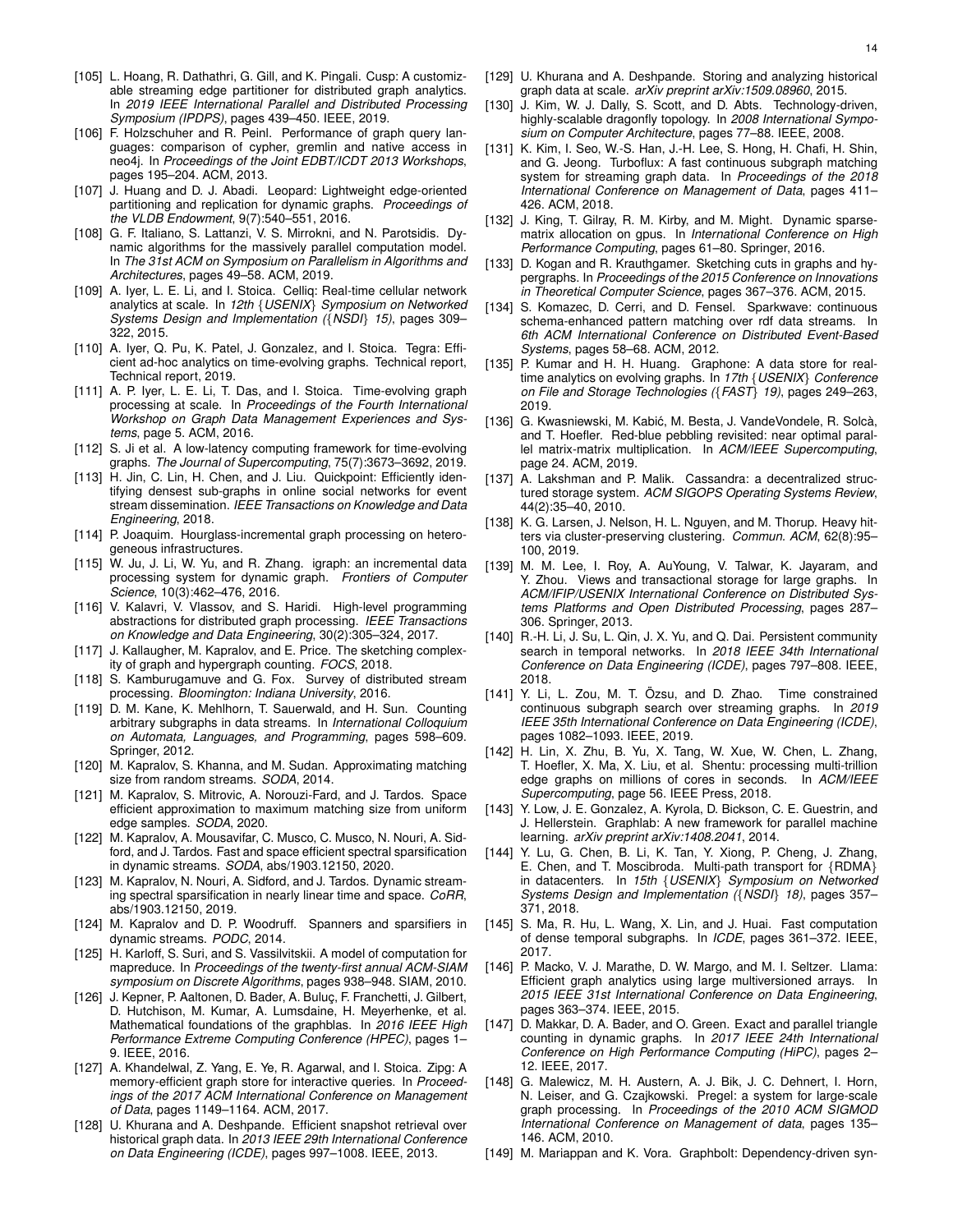- [105] L. Hoang, R. Dathathri, G. Gill, and K. Pingali. Cusp: A customizable streaming edge partitioner for distributed graph analytics. In *2019 IEEE International Parallel and Distributed Processing Symposium (IPDPS)*, pages 439–450. IEEE, 2019.
- [106] F. Holzschuher and R. Peinl. Performance of graph query languages: comparison of cypher, gremlin and native access in neo4j. In *Proceedings of the Joint EDBT/ICDT 2013 Workshops*, pages 195–204. ACM, 2013.
- [107] J. Huang and D. J. Abadi. Leopard: Lightweight edge-oriented partitioning and replication for dynamic graphs. *Proceedings of the VLDB Endowment*, 9(7):540–551, 2016.
- [108] G. F. Italiano, S. Lattanzi, V. S. Mirrokni, and N. Parotsidis. Dynamic algorithms for the massively parallel computation model. In *The 31st ACM on Symposium on Parallelism in Algorithms and Architectures*, pages 49–58. ACM, 2019.
- [109] A. Iyer, L. E. Li, and I. Stoica. Celliq: Real-time cellular network analytics at scale. In *12th* {*USENIX*} *Symposium on Networked Systems Design and Implementation (*{*NSDI*} *15)*, pages 309– 322, 2015.
- [110] A. Iyer, Q. Pu, K. Patel, J. Gonzalez, and I. Stoica. Tegra: Efficient ad-hoc analytics on time-evolving graphs. Technical report, Technical report, 2019.
- [111] A. P. Iyer, L. E. Li, T. Das, and I. Stoica. Time-evolving graph processing at scale. In *Proceedings of the Fourth International Workshop on Graph Data Management Experiences and Systems*, page 5. ACM, 2016.
- [112] S. Ji et al. A low-latency computing framework for time-evolving graphs. *The Journal of Supercomputing*, 75(7):3673–3692, 2019.
- [113] H. Jin, C. Lin, H. Chen, and J. Liu. Quickpoint: Efficiently identifying densest sub-graphs in online social networks for event stream dissemination. *IEEE Transactions on Knowledge and Data Engineering*, 2018.
- [114] P. Joaquim. Hourglass-incremental graph processing on heterogeneous infrastructures.
- [115] W. Ju, J. Li, W. Yu, and R. Zhang. igraph: an incremental data processing system for dynamic graph. *Frontiers of Computer Science*, 10(3):462–476, 2016.
- [116] V. Kalavri, V. Vlassov, and S. Haridi. High-level programming abstractions for distributed graph processing. *IEEE Transactions on Knowledge and Data Engineering*, 30(2):305–324, 2017.
- [117] J. Kallaugher, M. Kapralov, and E. Price. The sketching complexity of graph and hypergraph counting. *FOCS*, 2018.
- [118] S. Kamburugamuve and G. Fox. Survey of distributed stream processing. *Bloomington: Indiana University*, 2016.
- [119] D. M. Kane, K. Mehlhorn, T. Sauerwald, and H. Sun. Counting arbitrary subgraphs in data streams. In *International Colloquium on Automata, Languages, and Programming*, pages 598–609. Springer, 2012.
- [120] M. Kapralov, S. Khanna, and M. Sudan. Approximating matching size from random streams. *SODA*, 2014.
- [121] M. Kapralov, S. Mitrovic, A. Norouzi-Fard, and J. Tardos. Space efficient approximation to maximum matching size from uniform edge samples. *SODA*, 2020.
- [122] M. Kapralov, A. Mousavifar, C. Musco, C. Musco, N. Nouri, A. Sidford, and J. Tardos. Fast and space efficient spectral sparsification in dynamic streams. *SODA*, abs/1903.12150, 2020.
- [123] M. Kapralov, N. Nouri, A. Sidford, and J. Tardos. Dynamic streaming spectral sparsification in nearly linear time and space. *CoRR*, abs/1903.12150, 2019.
- [124] M. Kapralov and D. P. Woodruff. Spanners and sparsifiers in dynamic streams. *PODC*, 2014.
- [125] H. Karloff, S. Suri, and S. Vassilvitskii, A model of computation for mapreduce. In *Proceedings of the twenty-first annual ACM-SIAM symposium on Discrete Algorithms*, pages 938–948. SIAM, 2010.
- [126] J. Kepner, P. Aaltonen, D. Bader, A. Buluç, F. Franchetti, J. Gilbert, D. Hutchison, M. Kumar, A. Lumsdaine, H. Meyerhenke, et al. Mathematical foundations of the graphblas. In *2016 IEEE High Performance Extreme Computing Conference (HPEC)*, pages 1– 9. IEEE, 2016.
- [127] A. Khandelwal, Z. Yang, E. Ye, R. Agarwal, and I. Stoica. Zipg: A memory-efficient graph store for interactive queries. In *Proceedings of the 2017 ACM International Conference on Management of Data*, pages 1149–1164. ACM, 2017.
- [128] U. Khurana and A. Deshpande. Efficient snapshot retrieval over historical graph data. In *2013 IEEE 29th International Conference on Data Engineering (ICDE)*, pages 997–1008. IEEE, 2013.
- [129] U. Khurana and A. Deshpande. Storing and analyzing historical graph data at scale. *arXiv preprint arXiv:1509.08960*, 2015.
- [130] J. Kim, W. J. Dally, S. Scott, and D. Abts. Technology-driven, highly-scalable dragonfly topology. In *2008 International Symposium on Computer Architecture*, pages 77–88. IEEE, 2008.
- [131] K. Kim, I. Seo, W.-S. Han, J.-H. Lee, S. Hong, H. Chafi, H. Shin, and G. Jeong. Turboflux: A fast continuous subgraph matching system for streaming graph data. In *Proceedings of the 2018 International Conference on Management of Data*, pages 411– 426. ACM, 2018.
- [132] J. King, T. Gilray, R. M. Kirby, and M. Might. Dynamic sparsematrix allocation on gpus. In *International Conference on High Performance Computing*, pages 61–80. Springer, 2016.
- [133] D. Kogan and R. Krauthgamer. Sketching cuts in graphs and hypergraphs. In *Proceedings of the 2015 Conference on Innovations in Theoretical Computer Science*, pages 367–376. ACM, 2015.
- [134] S. Komazec, D. Cerri, and D. Fensel. Sparkwave: continuous schema-enhanced pattern matching over rdf data streams. In *6th ACM International Conference on Distributed Event-Based Systems*, pages 58–68. ACM, 2012.
- [135] P. Kumar and H. H. Huang. Graphone: A data store for realtime analytics on evolving graphs. In *17th* {*USENIX*} *Conference on File and Storage Technologies (*{*FAST*} *19)*, pages 249–263, 2019.
- [136] G. Kwasniewski, M. Kabić, M. Besta, J. VandeVondele, R. Solcà, and T. Hoefler. Red-blue pebbling revisited: near optimal parallel matrix-matrix multiplication. In *ACM/IEEE Supercomputing*, page 24. ACM, 2019.
- [137] A. Lakshman and P. Malik. Cassandra: a decentralized structured storage system. *ACM SIGOPS Operating Systems Review*, 44(2):35–40, 2010.
- [138] K. G. Larsen, J. Nelson, H. L. Nguyen, and M. Thorup. Heavy hitters via cluster-preserving clustering. *Commun. ACM*, 62(8):95– 100, 2019.
- [139] M. M. Lee, I. Roy, A. AuYoung, V. Talwar, K. Jayaram, and Y. Zhou. Views and transactional storage for large graphs. In *ACM/IFIP/USENIX International Conference on Distributed Systems Platforms and Open Distributed Processing*, pages 287– 306. Springer, 2013.
- [140] R.-H. Li, J. Su, L. Qin, J. X. Yu, and Q. Dai. Persistent community search in temporal networks. In *2018 IEEE 34th International Conference on Data Engineering (ICDE)*, pages 797–808. IEEE, 2018.
- [141] Y. Li, L. Zou, M. T. Özsu, and D. Zhao. Time constrained continuous subgraph search over streaming graphs. In *2019 IEEE 35th International Conference on Data Engineering (ICDE)*, pages 1082–1093. IEEE, 2019.
- [142] H. Lin, X. Zhu, B. Yu, X. Tang, W. Xue, W. Chen, L. Zhang, T. Hoefler, X. Ma, X. Liu, et al. Shentu: processing multi-trillion edge graphs on millions of cores in seconds. In *ACM/IEEE Supercomputing*, page 56. IEEE Press, 2018.
- [143] Y. Low, J. E. Gonzalez, A. Kyrola, D. Bickson, C. E. Guestrin, and J. Hellerstein. Graphlab: A new framework for parallel machine learning. *arXiv preprint arXiv:1408.2041*, 2014.
- [144] Y. Lu, G. Chen, B. Li, K. Tan, Y. Xiong, P. Cheng, J. Zhang, E. Chen, and T. Moscibroda. Multi-path transport for {RDMA} in datacenters. In *15th* {*USENIX*} *Symposium on Networked Systems Design and Implementation (*{*NSDI*} *18)*, pages 357– 371, 2018.
- [145] S. Ma, R. Hu, L. Wang, X. Lin, and J. Huai. Fast computation of dense temporal subgraphs. In *ICDE*, pages 361–372. IEEE, 2017.
- [146] P. Macko, V. J. Marathe, D. W. Margo, and M. I. Seltzer. Llama: Efficient graph analytics using large multiversioned arrays. In *2015 IEEE 31st International Conference on Data Engineering*, pages 363–374. IEEE, 2015.
- [147] D. Makkar, D. A. Bader, and O. Green. Exact and parallel triangle counting in dynamic graphs. In *2017 IEEE 24th International Conference on High Performance Computing (HiPC)*, pages 2– 12. IEEE, 2017.
- [148] G. Malewicz, M. H. Austern, A. J. Bik, J. C. Dehnert, I. Horn, N. Leiser, and G. Czajkowski. Pregel: a system for large-scale graph processing. In *Proceedings of the 2010 ACM SIGMOD International Conference on Management of data*, pages 135– 146. ACM, 2010.
- [149] M. Mariappan and K. Vora. Graphbolt: Dependency-driven syn-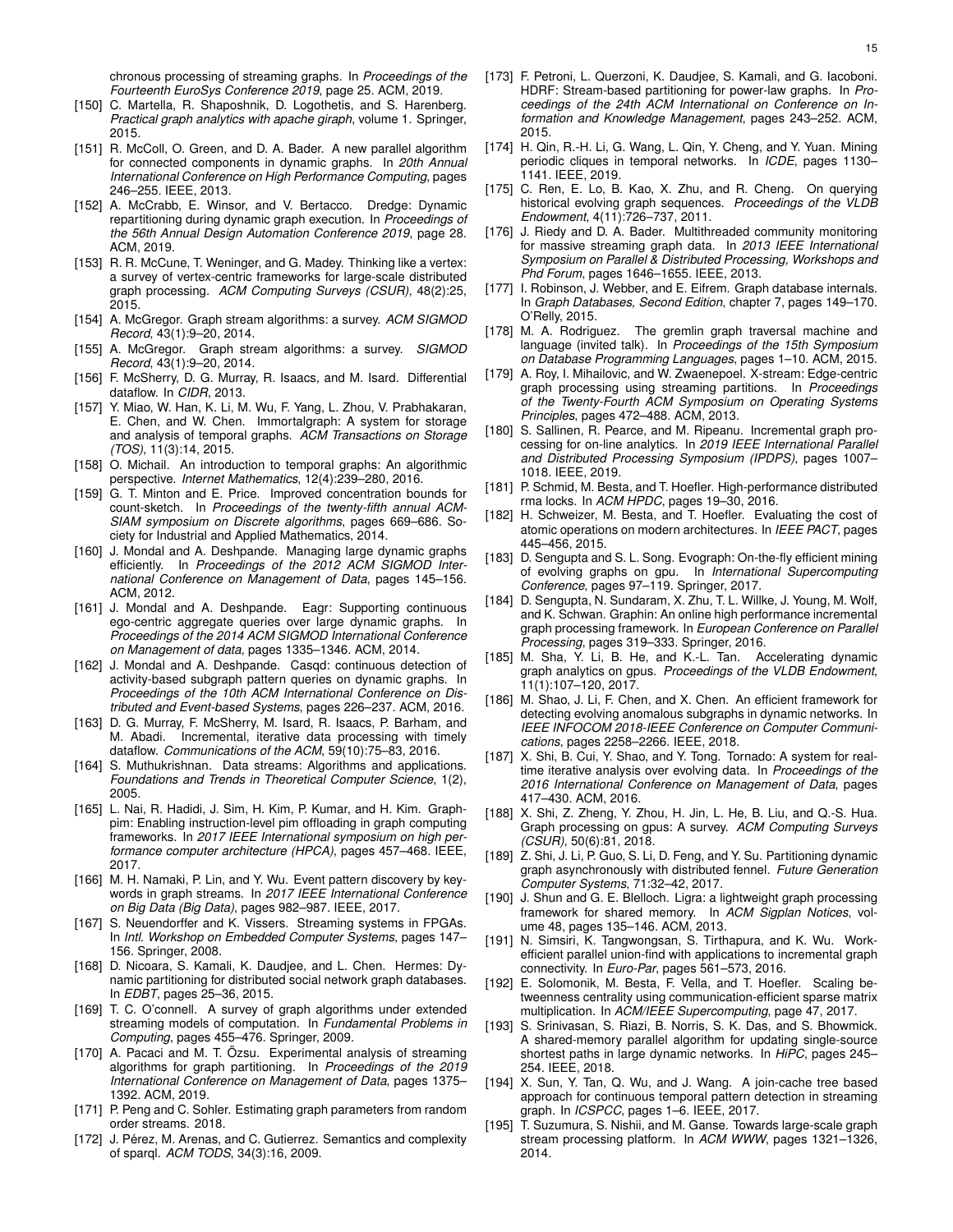chronous processing of streaming graphs. In *Proceedings of the Fourteenth EuroSys Conference 2019*, page 25. ACM, 2019.

- [150] C. Martella, R. Shaposhnik, D. Logothetis, and S. Harenberg. *Practical graph analytics with apache giraph*, volume 1. Springer, 2015.
- [151] R. McColl, O. Green, and D. A. Bader. A new parallel algorithm for connected components in dynamic graphs. In *20th Annual International Conference on High Performance Computing*, pages 246–255. IEEE, 2013.
- [152] A. McCrabb, E. Winsor, and V. Bertacco. Dredge: Dynamic repartitioning during dynamic graph execution. In *Proceedings of the 56th Annual Design Automation Conference 2019*, page 28. ACM, 2019.
- [153] R. R. McCune, T. Weninger, and G. Madey. Thinking like a vertex: a survey of vertex-centric frameworks for large-scale distributed graph processing. *ACM Computing Surveys (CSUR)*, 48(2):25, 2015.
- [154] A. McGregor. Graph stream algorithms: a survey. *ACM SIGMOD Record*, 43(1):9–20, 2014.
- [155] A. McGregor. Graph stream algorithms: a survey. *SIGMOD Record*, 43(1):9–20, 2014.
- [156] F. McSherry, D. G. Murray, R. Isaacs, and M. Isard. Differential dataflow. In *CIDR*, 2013.
- [157] Y. Miao, W. Han, K. Li, M. Wu, F. Yang, L. Zhou, V. Prabhakaran, E. Chen, and W. Chen. Immortalgraph: A system for storage and analysis of temporal graphs. *ACM Transactions on Storage (TOS)*, 11(3):14, 2015.
- [158] O. Michail. An introduction to temporal graphs: An algorithmic perspective. *Internet Mathematics*, 12(4):239–280, 2016.
- [159] G. T. Minton and E. Price. Improved concentration bounds for count-sketch. In *Proceedings of the twenty-fifth annual ACM-SIAM symposium on Discrete algorithms*, pages 669–686. Society for Industrial and Applied Mathematics, 2014.
- [160] J. Mondal and A. Deshpande. Managing large dynamic graphs efficiently. In *Proceedings of the 2012 ACM SIGMOD International Conference on Management of Data*, pages 145–156. ACM, 2012.
- [161] J. Mondal and A. Deshpande. Eagr: Supporting continuous ego-centric aggregate queries over large dynamic graphs. In *Proceedings of the 2014 ACM SIGMOD International Conference on Management of data*, pages 1335–1346. ACM, 2014.
- [162] J. Mondal and A. Deshpande. Casqd: continuous detection of activity-based subgraph pattern queries on dynamic graphs. In *Proceedings of the 10th ACM International Conference on Distributed and Event-based Systems*, pages 226–237. ACM, 2016.
- [163] D. G. Murray, F. McSherry, M. Isard, R. Isaacs, P. Barham, and M. Abadi. Incremental, iterative data processing with timely dataflow. *Communications of the ACM*, 59(10):75–83, 2016.
- [164] S. Muthukrishnan. Data streams: Algorithms and applications. *Foundations and Trends in Theoretical Computer Science*, 1(2), 2005.
- [165] L. Nai, R. Hadidi, J. Sim, H. Kim, P. Kumar, and H. Kim. Graphpim: Enabling instruction-level pim offloading in graph computing frameworks. In *2017 IEEE International symposium on high performance computer architecture (HPCA)*, pages 457–468. IEEE, 2017.
- [166] M. H. Namaki, P. Lin, and Y. Wu. Event pattern discovery by keywords in graph streams. In *2017 IEEE International Conference on Big Data (Big Data)*, pages 982–987. IEEE, 2017.
- [167] S. Neuendorffer and K. Vissers. Streaming systems in FPGAs. In *Intl. Workshop on Embedded Computer Systems*, pages 147– 156. Springer, 2008.
- [168] D. Nicoara, S. Kamali, K. Daudjee, and L. Chen. Hermes: Dynamic partitioning for distributed social network graph databases. In *EDBT*, pages 25–36, 2015.
- [169] T. C. O'connell. A survey of graph algorithms under extended streaming models of computation. In *Fundamental Problems in Computing*, pages 455–476. Springer, 2009.
- [170] A. Pacaci and M. T. Özsu. Experimental analysis of streaming algorithms for graph partitioning. In *Proceedings of the 2019 International Conference on Management of Data*, pages 1375– 1392. ACM, 2019.
- [171] P. Peng and C. Sohler. Estimating graph parameters from random order streams. 2018.
- [172] J. Pérez, M. Arenas, and C. Gutierrez. Semantics and complexity of sparql. *ACM TODS*, 34(3):16, 2009.
- [173] F. Petroni, L. Querzoni, K. Daudjee, S. Kamali, and G. Iacoboni. HDRF: Stream-based partitioning for power-law graphs. In *Proceedings of the 24th ACM International on Conference on Information and Knowledge Management*, pages 243–252. ACM, 2015.
- [174] H. Qin, R.-H. Li, G. Wang, L. Qin, Y. Cheng, and Y. Yuan. Mining periodic cliques in temporal networks. In *ICDE*, pages 1130– 1141. IEEE, 2019.
- [175] C. Ren, E. Lo, B. Kao, X. Zhu, and R. Cheng. On querying historical evolving graph sequences. *Proceedings of the VLDB Endowment*, 4(11):726–737, 2011.
- [176] J. Riedy and D. A. Bader. Multithreaded community monitoring for massive streaming graph data. In *2013 IEEE International Symposium on Parallel & Distributed Processing, Workshops and Phd Forum*, pages 1646–1655. IEEE, 2013.
- [177] I. Robinson, J. Webber, and E. Eifrem. Graph database internals. In *Graph Databases, Second Edition*, chapter 7, pages 149–170. O'Relly, 2015.
- [178] M. A. Rodriguez. The gremlin graph traversal machine and language (invited talk). In *Proceedings of the 15th Symposium on Database Programming Languages*, pages 1–10. ACM, 2015.
- [179] A. Roy, I. Mihailovic, and W. Zwaenepoel. X-stream: Edge-centric graph processing using streaming partitions. In *Proceedings of the Twenty-Fourth ACM Symposium on Operating Systems Principles*, pages 472–488. ACM, 2013.
- [180] S. Sallinen, R. Pearce, and M. Ripeanu. Incremental graph processing for on-line analytics. In *2019 IEEE International Parallel and Distributed Processing Symposium (IPDPS)*, pages 1007– 1018. IEEE, 2019.
- [181] P. Schmid, M. Besta, and T. Hoefler. High-performance distributed rma locks. In *ACM HPDC*, pages 19–30, 2016.
- [182] H. Schweizer, M. Besta, and T. Hoefler. Evaluating the cost of atomic operations on modern architectures. In *IEEE PACT*, pages 445–456, 2015.
- [183] D. Sengupta and S. L. Song. Evograph: On-the-fly efficient mining of evolving graphs on gpu. In *International Supercomputing Conference*, pages 97–119. Springer, 2017.
- [184] D. Sengupta, N. Sundaram, X. Zhu, T. L. Willke, J. Young, M. Wolf, and K. Schwan. Graphin: An online high performance incremental graph processing framework. In *European Conference on Parallel Processing*, pages 319–333. Springer, 2016.
- [185] M. Sha, Y. Li, B. He, and K.-L. Tan. Accelerating dynamic graph analytics on gpus. *Proceedings of the VLDB Endowment*, 11(1):107–120, 2017.
- [186] M. Shao, J. Li, F. Chen, and X. Chen. An efficient framework for detecting evolving anomalous subgraphs in dynamic networks. In *IEEE INFOCOM 2018-IEEE Conference on Computer Communications*, pages 2258–2266. IEEE, 2018.
- [187] X. Shi, B. Cui, Y. Shao, and Y. Tong. Tornado: A system for realtime iterative analysis over evolving data. In *Proceedings of the 2016 International Conference on Management of Data*, pages 417–430. ACM, 2016.
- [188] X. Shi, Z. Zheng, Y. Zhou, H. Jin, L. He, B. Liu, and Q.-S. Hua. Graph processing on gpus: A survey. *ACM Computing Surveys (CSUR)*, 50(6):81, 2018.
- [189] Z. Shi, J. Li, P. Guo, S. Li, D. Feng, and Y. Su. Partitioning dynamic graph asynchronously with distributed fennel. *Future Generation Computer Systems*, 71:32–42, 2017.
- [190] J. Shun and G. E. Blelloch. Ligra: a lightweight graph processing framework for shared memory. In *ACM Sigplan Notices*, volume 48, pages 135–146. ACM, 2013.
- [191] N. Simsiri, K. Tangwongsan, S. Tirthapura, and K. Wu. Workefficient parallel union-find with applications to incremental graph connectivity. In *Euro-Par*, pages 561–573, 2016.
- [192] E. Solomonik, M. Besta, F. Vella, and T. Hoefler. Scaling betweenness centrality using communication-efficient sparse matrix multiplication. In *ACM/IEEE Supercomputing*, page 47, 2017.
- [193] S. Srinivasan, S. Riazi, B. Norris, S. K. Das, and S. Bhowmick. A shared-memory parallel algorithm for updating single-source shortest paths in large dynamic networks. In *HiPC*, pages 245– 254. IEEE, 2018.
- [194] X. Sun, Y. Tan, Q. Wu, and J. Wang. A join-cache tree based approach for continuous temporal pattern detection in streaming graph. In *ICSPCC*, pages 1–6. IEEE, 2017.
- [195] T. Suzumura, S. Nishii, and M. Ganse. Towards large-scale graph stream processing platform. In *ACM WWW*, pages 1321–1326, 2014.